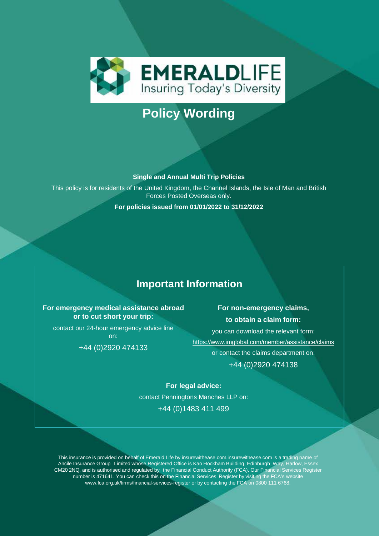

# **Policy Wording**

# **Single and Annual Multi Trip Policies**

This policy is for residents of the United Kingdom, the Channel Islands, the Isle of Man and British Forces Posted Overseas only.

**For policies issued from 01/01/2022 to 31/12/2022** 

# **Important Information**

**For emergency medical assistance abroad or to cut short your trip:**

contact our 24-hour emergency advice line on:

+44 (0)2920 474133

**For non-emergency claims, to obtain a claim form:** you can download the relevant form: <https://www.imglobal.com/member/assistance/claims> or contact the claims department on:

+44 (0)2920 474138

# **For legal advice:**

contact Penningtons Manches LLP on: +44 (0)1483 411 499

This insurance is provided on behalf of Emerald Life by insurewithease.com.insurewithease.com is a trading name of Ancile Insurance Group Limited whose Registered Office is Kao Hockham Building, Edinburgh Way, Harlow, Essex CM20 2NQ, and is authorised and regulated by the Financial Conduct Authority (FCA). Our Financial Services Register number is 471641. You can check this on the Financial Services Register by visiting the FCA's website [www.fca.org.uk/firms/financial-s](http://www.fca.org.uk/firms/financial-)ervices-register or by contacting the FCA on 0800 111 6768.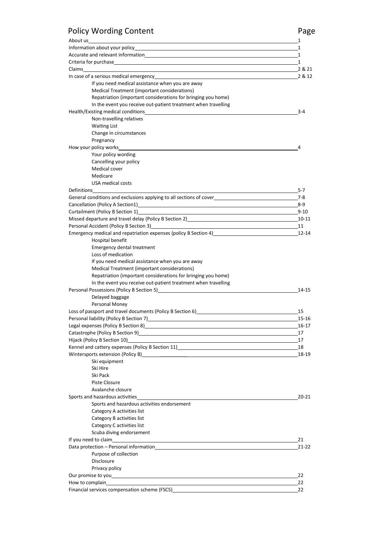# Policy Wording Content **Page**

| About us                                                                                                                                                                                                                                        | 1            |
|-------------------------------------------------------------------------------------------------------------------------------------------------------------------------------------------------------------------------------------------------|--------------|
|                                                                                                                                                                                                                                                 | 1            |
| Accurate and relevant information example and the state of the state of the state of the state of the state of                                                                                                                                  | 1            |
|                                                                                                                                                                                                                                                 | $\mathbf{1}$ |
| Claims and the control of the control of the control of the control of the control of the control of the control of the control of the control of the control of the control of the control of the control of the control of t                  | 2 & 21       |
|                                                                                                                                                                                                                                                 | 2 & 12       |
| If you need medical assistance when you are away                                                                                                                                                                                                |              |
| Medical Treatment (important considerations)                                                                                                                                                                                                    |              |
| Repatriation (important considerations for bringing you home)                                                                                                                                                                                   |              |
| In the event you receive out-patient treatment when travelling                                                                                                                                                                                  |              |
|                                                                                                                                                                                                                                                 | $3 - 4$      |
| Non-travelling relatives                                                                                                                                                                                                                        |              |
| <b>Waiting List</b>                                                                                                                                                                                                                             |              |
| Change in circumstances                                                                                                                                                                                                                         |              |
| Pregnancy                                                                                                                                                                                                                                       |              |
| How your policy works                                                                                                                                                                                                                           | 4            |
| Your policy wording                                                                                                                                                                                                                             |              |
| Cancelling your policy                                                                                                                                                                                                                          |              |
| Medical cover                                                                                                                                                                                                                                   |              |
| Medicare                                                                                                                                                                                                                                        |              |
| USA medical costs                                                                                                                                                                                                                               |              |
| <b>Definitions</b>                                                                                                                                                                                                                              | $5 - 7$      |
| General conditions and exclusions applying to all sections of cover                                                                                                                                                                             | $7 - 8$      |
|                                                                                                                                                                                                                                                 | $8-9$        |
| Curtailment (Policy B Section 1)                                                                                                                                                                                                                | $9 - 10$     |
| Missed departure and travel delay (Policy B Section 2) 10-11 10-11 10-11                                                                                                                                                                        |              |
| Personal Accident (Policy B Section 3) 2008 2010 2020 2021 2021 2022 2021 2022 2021 2022 2022 2023 2024 2022 20                                                                                                                                 | 11           |
| Emergency medical and repatriation expenses (policy B Section 4) expenses the state of the state of the state of the state of the state of the state of the state of the state of the state of the state of the state of the s                  | $12 - 14$    |
| Hospital benefit<br>Emergency dental treatment                                                                                                                                                                                                  |              |
| Loss of medication                                                                                                                                                                                                                              |              |
| If you need medical assistance when you are away                                                                                                                                                                                                |              |
| Medical Treatment (important considerations)                                                                                                                                                                                                    |              |
| Repatriation (important considerations for bringing you home)                                                                                                                                                                                   |              |
| In the event you receive out-patient treatment when travelling                                                                                                                                                                                  |              |
|                                                                                                                                                                                                                                                 | 14-15        |
| Delayed baggage                                                                                                                                                                                                                                 |              |
| Personal Money                                                                                                                                                                                                                                  |              |
| Loss of passport and travel documents (Policy B Section 6) [2010] [2010 Contract to the US of Daniel Contract to Discover 100 Contract to Discover 100 Contract to Discover 100 Contract to Discover 100 Contract to Discover                   | 15           |
| Personal liability (Policy B Section 7)                                                                                                                                                                                                         | 15-16        |
|                                                                                                                                                                                                                                                 | 16-17        |
|                                                                                                                                                                                                                                                 | 17           |
| Hijack (Policy B Section 10) Expansion of the control of the control of the control of the control of the control of the control of the control of the control of the control of the control of the control of the control of                   | 17           |
| Kennel and cattery expenses (Policy B Section 11) <b>Example 2018</b> 2019 12:00 Fig. 2019                                                                                                                                                      | 18           |
| Wintersports extension (Policy B) Manual According to the Contract of the Contract of the Contract of the Contract of the Contract of the Contract of the Contract of the Contract of the Contract of the Contract of the Cont                  | 18-19        |
| Ski equipment                                                                                                                                                                                                                                   |              |
| Ski Hire                                                                                                                                                                                                                                        |              |
| Ski Pack                                                                                                                                                                                                                                        |              |
| Piste Closure                                                                                                                                                                                                                                   |              |
| Avalanche closure                                                                                                                                                                                                                               |              |
| Sports and hazardous activities_                                                                                                                                                                                                                | 20-21        |
| Sports and hazardous activities endorsement                                                                                                                                                                                                     |              |
| Category A activities list                                                                                                                                                                                                                      |              |
| Category B activities list                                                                                                                                                                                                                      |              |
| Category C activities list                                                                                                                                                                                                                      |              |
| Scuba diving endorsement                                                                                                                                                                                                                        |              |
| If you need to claim_                                                                                                                                                                                                                           | 21           |
| Data protection - Personal information entrance and all the control of the control of the control of the control of the control of the control of the control of the control of the control of the control of the control of t                  | $21 - 22$    |
| Purpose of collection                                                                                                                                                                                                                           |              |
| Disclosure                                                                                                                                                                                                                                      |              |
| Privacy policy<br>Our promise to you are all the state of the state of the state of the state of the state of the state of the state of the state of the state of the state of the state of the state of the state of the state of the state of | 22           |
| How to complain the state of the state of the state of the state of the state of the state of the state of the                                                                                                                                  | 22           |
| Financial services compensation scheme (FSCS) examples the service of the services of the services of the services of the services of the services of the services of the services of the services of the services of the serv                  | 22           |
|                                                                                                                                                                                                                                                 |              |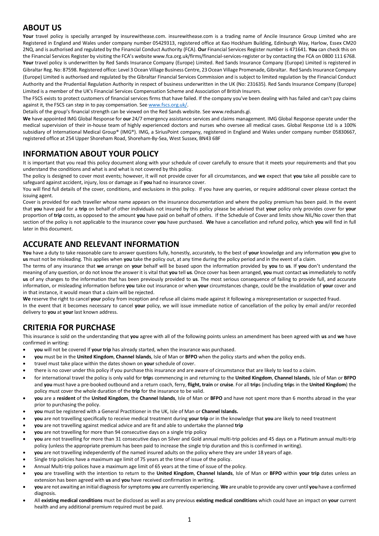# **ABOUT US**

Your travel policy is specially arranged by insurewithease.com. insurewithease.com is a trading name of Ancile Insurance Group Limited who are Registered in England and Wales under company number 05429313, registered office at Kao Hockham Building, Edinburgh Way, Harlow, Essex CM20 2NQ, and is authorised and regulated by the Financial Conduct Authority (FCA). **Our** Financial Services Register number is 471641. **You** can check this on the Financial Services Register by visiting the FCA's website www.fca.org.uk/firms/financial-services-register or by contacting the FCA on 0800 111 6768. This policy is underwritten by Red Sands Insurance Company (Europe) Ltd. Red Sands Insurance Company (Europe) Limited is registered in Gibraltar Reg. No: 87598. Registered office: Level 3 Ocean Village Business Centre, 23 Ocean Village Promenade, Gibraltar. Red Sands Insurance Company (Europe) Limited is authorised and regulated by the Gibraltar Financial Services Commission and is subject to regulation by the Financial Conduct Authority and limited regulation by the Prudential Regulation Authority in respect of business underwritten in the UK (No: 231635). Red Sands Insurance Company (Europe) Limited is a member of the UK's Financial Services Compensation Scheme and Association of British Insurers. The FSCS exists to protect customers of financial services firms that have failed. If the company you've been dealing with has failed and can't pay claims against it, the FSCS can step in to pay compensation. See [www.fscs.org.uk/.](http://www.fscs.org.uk/)

Details of the group's financial strength can be viewed on the Red Sands website. See www.redsands.gi.

**We** have appointed IMG Global Response for **our** 24/7 emergency assistance services and claims management. IMG Global Response operate under the medical supervision of their in-house team of highly experienced doctors and nurses who oversee all medical cases. Global Response Ltd is a 100% subsidiary of International Medical Group® (IMG®). IMG, a SiriusPoint company, registered in England and Wales under company number 05830667, registered office at 254 Upper Shoreham Road, Shoreham-By-Sea, West Sussex, BN43 6BF

# **INFORMATION ABOUT YOUR POLICY**

It is important that you read this policy document along with your schedule of cover carefully to ensure that it meets your requirements and that you understand the conditions and what is and what is not covered by this policy.

The policy is designed to cover most events; however, it will not provide cover for all circumstances, and **we** expect that **you** take all possible care to safeguard against accident, injury, loss or damage as if **you** had no insurance cover.

You will find full details of the cover, conditions, and exclusions in this policy. If you have any queries, or require additional cover please contact the issuing agent.

Cover is provided for each traveller whose name appears on the insurance documentation and where the policy premium has been paid. In the event that **you** have paid for a **trip** on behalf of other individuals not insured by this policy please be advised that **your** policy only provides cover for **your** proportion of **trip** costs, as opposed to the amount **you** have paid on behalf of others. If the Schedule of Cover and limits show NIL/No cover then that section of the policy is not applicable to the insurance cover **you** have purchased. **We** have a cancellation and refund policy, which **you** will find in full later in this document.

# **ACCURATE AND RELEVANT INFORMATION**

**You** have a duty to take reasonable care to answer questions fully, honestly, accurately, to the best of **your** knowledge and any information **you** give to **us** must not be misleading. This applies when **you** take the policy out, at any time during the policy period and in the event of a claim.

The terms of any insurance that **we** arrange on **your** behalf will be based upon the information provided by **you** to **us**. If **you** don't understand the meaning of any question, or do not know the answer it is vital that **you** tell **us**. Once cover has been arranged, **you** must contact **us** immediately to notify **us** of any changes to the information that has been previously provided to **us**. The most serious consequence of failing to provide full, and accurate information, or misleading information before **you** take out insurance or when **your** circumstances change, could be the invalidation of **your** cover and in that instance, it would mean that a claim will be rejected.

**We** reserve the right to cancel **your** policy from inception and refuse all claims made against it following a misrepresentation or suspected fraud. In the event that it becomes necessary to cancel **your** policy, we will issue immediate notice of cancellation of the policy by email and/or recorded delivery to **you** at **your** last known address.

# **CRITERIA FOR PURCHASE**

This insurance is sold on the understanding that **you** agree with all of the following points unless an amendment has been agreed with **us** and **we** have confirmed in writing:

- **you** will not be covered If **your trip** has already started, when the insurance was purchased.
- **you** must be in the **United Kingdom**, **Channel Islands**, Isle of Man or **BFPO** when the policy starts and when the policy ends.
- travel must take place within the dates shown on **your** schedule of cover.
- there is no cover under this policy if you purchase this insurance and are aware of circumstance that are likely to lead to a claim.
- for international travel the policy is only valid for **trip**s commencing in and returning to the **United Kingdom**, **Channel Islands**, Isle of Man or **BFPO** and **you** must have a pre-booked outbound and a return coach, ferry, **flight, train** or **cruise**. For all **trip**s (including **trip**s in the **United Kingdom**) the policy must cover the whole duration of the **trip** for the insurance to be valid.
- **you** are a **resident** of the **United Kingdom**, the **Channel Islands**, Isle of Man or **BFPO** and have not spent more than 6 months abroad in the year prior to purchasing the policy.
- **you** must be registered with a General Practitioner in the UK, Isle of Man or **Channel Islands.**
- **you** are not travelling specifically to receive medical treatment during **your trip** or in the knowledge that **you** are likely to need treatment
- **you** are not travelling against medical advice and are fit and able to undertake the planned **trip**
- **you** are not travelling for more than 94 consecutive days on a single trip policy
- **you** are not travelling for more than 31 consecutive days on Silver and Gold annual multi-trip policies and 45 days on a Platinum annual multi-trip policy (unless the appropriate premium has been paid to increase the single trip duration and this is confirmed in writing).
- **you** are not travelling independently of the named insured adults on the policy where they are under 18 years of age.
- Single trip policies have a maximum age limit of 75 years at the time of issue of the policy.
- Annual Multi-trip polices have a maximum age limit of 65 years at the time of issue of the policy.
- **you** are travelling with the intention to return to the **United Kingdom**, **Channel Islands**, Isle of Man or **BFPO** within **your trip** dates unless an extension has been agreed with **us** and **you** have received confirmation in writing.
- **you** are not awaiting an initial diagnosis for symptoms **you** are currently experiencing. **We** are unable to provide any cover until **you** have a confirmed diagnosis.
- All **existing medical conditions** must be disclosed as well as any previous **existing medical conditions** which could have an impact on **your** current health and any additional premium required must be paid.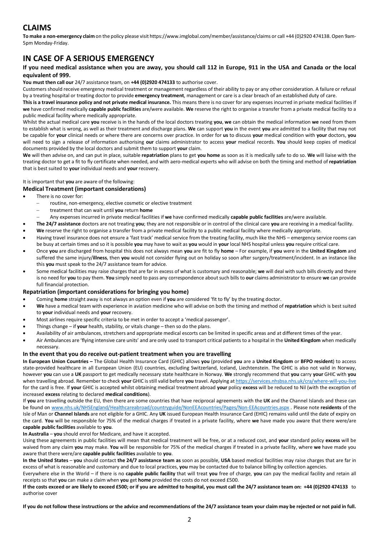# **CLAIMS**

**To make a non-emergency claim** on the policy please visit https://www.imglobal.com/member/assistance/claims or call +44 (0)2920 474138. Open 9am-5pm Monday-Friday.

# **IN CASE OF A SERIOUS EMERGENCY**

### **If you need medical assistance when you are away, you should call 112 in Europe, 911 in the USA and Canada or the local equivalent of 999.**

**You must then call our** 24/7 assistance team, on **+44 (0)2920 474133** to authorise cover.

Customers should receive emergency medical treatment or management regardless of their ability to pay or any other consideration. A failure or refusal by a treating hospital or treating doctor to provide **emergency treatment**, management or care is a clear breach of an established duty of care.

**This is a travel insurance policy and not private medical insurance.** This means there is no cover for any expenses incurred in private medical facilities if **we** have confirmed medically **capable public facilities** are/were available. **We** reserve the right to organise a transfer from a private medical facility to a public medical facility where medically appropriate.

Whilst the actual medical care **you** receive is in the hands of the local doctors treating **you**, **we** can obtain the medical information **we** need from them to establish what is wrong, as well as their treatment and discharge plans. **We** can support **you** in the event **you** are admitted to a facility that may not be capable for **your** clinical needs or where there are concerns over practice. In order for **us** to discuss **your** medical condition with **your** doctors, **you** will need to sign a release of information authorising **our** claims administrator to access **your** medical records. **You** should keep copies of medical documents provided by the local doctors and submit them to support **your** claim.

**We** will then advise on, and can put in place, suitable **repatriation** plans to get **you home** as soon as it is medically safe to do so. **We** will liaise with the treating doctor to get a fit to fly certificate when needed, and with aero-medical experts who will advise on both the timing and method of **repatriation** that is best suited to **your** individual needs and **your** recovery.

# It is important that **you** are aware of the following:

# **Medical Treatment (important considerations)**

- There is no cover for:
	- routine, non-emergency, elective cosmetic or elective treatment
	- − treatment that can wait until **you** return **home**
	- − Any expenses incurred in private medical facilities if **we** have confirmed medically **capable public facilities** are/were available.
- **The 24/7 assistance** doctors are not treating **you**; they are not responsible or in control of the clinical care **you** are receiving in a medical facility.
- **We** reserve the right to organise a transfer from a private medical facility to a public medical facility where medically appropriate.
- Having travel insurance does not ensure a 'fast track' medical service from the treating facility, much like the NHS emergency service rooms can be busy at certain times and so it is possible **you** may have to wait as **you** would in **your** local NHS hospital unless **you** require critical care.
- Once **you** are discharged from hospital this does not always mean **you** are fit to fly **home** For example, if **you** were in the **United Kingdom** and suffered the same injury/**illness**, then **you** would not consider flying out on holiday so soon after surgery/treatment/incident. In an instance like this **you** must speak to the 24/7 assistance team for advice.
- Some medical facilities may raise charges that are far in excess of what is customary and reasonable; **we** will deal with such bills directly and there is no need for **you** to pay them. **You** simply need to pass any correspondence about such bills to **our** claims administrator to ensure **we** can provide full financial protection.

# **Repatriation (important considerations for bringing you home)**

- Coming **home** straight away is not always an option even if **you** are considered 'fit to fly' by the treating doctor.
- **We** have a medical team with experience in aviation medicine who will advise on both the timing and method of **repatriation** which is best suited to **your** individual needs and **your** recovery.
- Most airlines require specific criteria to be met in order to accept a 'medical passenger'.
- Things change if **your** health, stability, or vitals change then so do the plans.
- Availability of air ambulances, stretchers and appropriate medical escorts can be limited in specific areas and at different times of the year.
- Air Ambulances are 'flying intensive care units' and are only used to transport critical patients to a hospital in the **United Kingdom** when medically necessary.

# **In the event that you do receive out-patient treatment when you are travelling**

**In European Union Countries –** The Global Health Insurance Card (GHIC) allows **you** (provided **you** are a **United Kingdom** or **BFPO resident**) to access state-provided healthcare in all European Union (EU) countries, excluding Switzerland, Iceland, Liechtenstein. The GHIC is also not valid in Norway, however **you** can use a **UK** passport to get medically necessary state healthcare in Norway. **We** strongly recommend that **you** carry **your** GHIC with **you** when travelling abroad. Remember to check **your** GHIC is still valid before **you** travel. Applying a[t https://services.nhsbsa.nhs.uk/cra/where-will-you-live](https://services.nhsbsa.nhs.uk/cra/where-will-you-live) for the card is free. If **your** GHIC is accepted whilst obtaining medical treatment abroad **your** policy **excess** will be reduced to Nil (with the exception of increased **excess** relating to declared **medical conditions**).

If **you** are travelling outside the EU, then there are some countries that have reciprocal agreements with the **UK** and the Channel Islands and these can be found on [www.nhs.uk/NHSEngland/Healthcareabroad/countryguide/NonEEAcountries/Pages/Non-EEAcountries.aspx](http://www.nhs.uk/NHSEngland/Healthcareabroad/countryguide/NonEEAcountries/Pages/Non-EEAcountries.aspx) . Please note **residents** of the Isle of Man or **Channel Islands** are not eligible for a GHIC. Any **UK** issued European Health Insurance Card (EHIC) remains valid until the date of expiry on the card. **You** will be responsible for 75% of the medical charges if treated in a private facility, where **we** have made you aware that there were/are **capable public facilities** available to **you**.

**In Australia** – **you** should enrol for Medicare, and have it accepted.

Using these agreements in public facilities will mean that medical treatment will be free, or at a reduced cost, and **your** standard policy **excess** will be waived from any claim **you** may make. **You** will be responsible for 75% of the medical charges if treated in a private facility, where **we** have made you aware that there were/are **capable public facilities** available to **you**.

**In the United States** – **you** should contact **the 24/7 assistance team as** soon as possible, **USA** based medical facilities may raise charges that are far in excess of what is reasonable and customary and due to local practices, **you** may be contacted due to balance billing by collection agencies.

Everywhere else in the World – if there is no **capable public facility** that will treat **you** free of charge, **you** can pay the medical facility and retain all receipts so that **you** can make a claim when **you** get **home** provided the costs do not exceed £500.

**If the costs exceed or are likely to exceed £500; or if you are admitted to hospital, you must call the 24/7 assistance team on: +44 (0)2920 474133** to authorise cover

**If you do not follow these instructions or the advice and recommendations of the 24/7 assistance team your claim may be rejected or not paid in full.**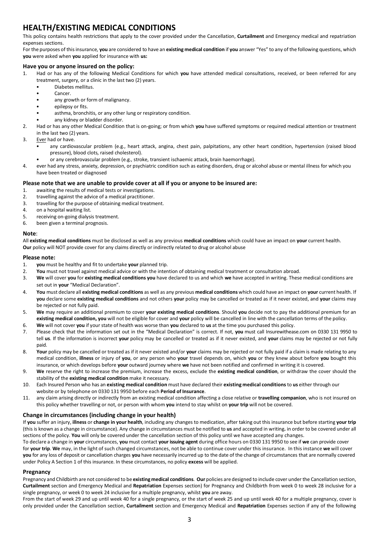# **HEALTH/EXISTING MEDICAL CONDITIONS**

This policy contains health restrictions that apply to the cover provided under the Cancellation, **Curtailment** and Emergency medical and repatriation expenses sections.

For the purposes of this insurance, **you** are considered to have an **existing medical condition** if **you** answer "Yes" to any of the following questions, which **you** were asked when **you** applied for insurance with **us:**

### **Have you or anyone insured on the policy:**

- 1. Had or has any of the following Medical Conditions for which **you** have attended medical consultations, received, or been referred for any treatment, surgery, or a clinic in the last two (2) years.
	- Diabetes mellitus.
	- Cancer.
	- any growth or form of malignancy.
	- epilepsy or fits.
	- asthma, bronchitis, or any other lung or respiratory condition.
	- any kidney or bladder disorder.
- 2. Had or has any other Medical Condition that is on-going; or from which **you** have suffered symptoms or required medical attention or treatment in the last two (2) years.
- 3. Ever had or have.
	- any cardiovascular problem (e.g., heart attack, angina, chest pain, palpitations, any other heart condition, hypertension (raised blood pressure), blood clots, raised cholesterol).
	- or any cerebrovascular problem (e.g., stroke, transient ischaemic attack, brain haemorrhage).
- 4. ever had any stress, anxiety, depression, or psychiatric condition such as eating disorders, drug or alcohol abuse or mental illness for which you have been treated or diagnosed

### **Please note that we are unable to provide cover at all if you or anyone to be insured are:**

- 1. awaiting the results of medical tests or investigations.
- 2. travelling against the advice of a medical practitioner.
- 3. travelling for the purpose of obtaining medical treatment.
- 4. on a hospital waiting list.
- 5. receiving on-going dialysis treatment.
- 6. been given a terminal prognosis.

#### **Note**:

All **existing medical conditions** must be disclosed as well as any previous **medical conditions** which could have an impact on **your** current health. **Our** policy will NOT provide cover for any claims directly or indirectly related to drug or alcohol abuse

#### **Please note:**

- 1. **you** must be healthy and fit to undertake **your** planned trip.
- 2. **You** must not travel against medical advice or with the intention of obtaining medical treatment or consultation abroad.
- 3. **We** will cover **you** for **existing medical conditions you** have declared to us and which **we** have accepted in writing. These medical conditions are set out in **your** "Medical Declaration".
- 4. **You** must declare all **existing medical conditions** as well as any previous **medical conditions** which could have an impact on **your** current health. If **you** declare some **existing medical conditions** and not others **your** policy may be cancelled or treated as if it never existed, and **your** claims may be rejected or not fully paid.
- 5. **We** may require an additional premium to cover **your existing medical conditions**. Should **you** decide not to pay the additional premium for an **existing medical condition, you** will not be eligible for cover and **your** policy will be cancelled in line with the cancellation terms of the policy.
- 6. **We** will not cover **you** if your state of health was worse than **you** declared to **us** at the time you purchased this policy.
- 7. Please check that the information set out in the "Medical Declaration" is correct. If not, **you** must call Insurewithease.com on 0330 131 9950 to tell **us**. If the information is incorrect **your** policy may be cancelled or treated as if it never existed, and **your** claims may be rejected or not fully paid.
- 8. **Your** policy may be cancelled or treated as if it never existed and/or **your** claims may be rejected or not fully paid if a claim is made relating to any medical condition, **illness** or injury of **you**, or any person who **your** travel depends on, which **you** or they knew about before **you** bought this insurance, or which develops before **your** outward journey where **we** have not been notified and confirmed in writing it is covered.
- 9. **We** reserve the right to increase the premium, increase the excess, exclude the **existing medical condition**, or withdraw the cover should the stability of the **existing medical condition** make it necessary.
- 10. Each Insured Person who has an **existing medical condition** must have declared their **existing medical conditions** to **us** either through our website or by telephone on 0330 131 9950 before each **Period of Insurance**.
- 11. any claim arising directly or indirectly from an existing medical condition affecting a close relative or **travelling companion**, who is not insured on this policy whether travelling or not, or person with whom **you** intend to stay whilst on **your trip** will not be covered.

### **Change in circumstances (including change in your health)**

If **you** suffer an injury, **illness** or **change in your health**, including any changes to medication, after taking out this insurance but before starting **your trip** (this is known as a change in circumstance). Any change in circumstances must be notified to **us** and accepted in writing**.** in order to be covered under all sections of the policy. **You** will only be covered under the cancellation section of this policy until we have accepted any changes.

To declare a change in **your** circumstances, **you** must contact **your issuing agent** during office hours on 0330 131 9950 to see if **we** can provide cover for **your trip**. **We** may, in the light of such changed circumstances, not be able to continue cover under this insurance. In this instance **we** will cover **you** for any loss of deposit or cancellation charges **you** have necessarily incurred up to the date of the change of circumstances that are normally covered under Policy A Section 1 of this insurance. In these circumstances, no policy **excess** will be applied.

### **Pregnancy**

Pregnancy and Childbirth are not considered to be **existing medical conditions**. **Our** policies are designed to include cover under the Cancellation section, **Curtailment** section and Emergency Medical and **Repatriation** Expenses section) for Pregnancy and Childbirth from week 0 to week 28 inclusive for a single pregnancy, or week 0 to week 24 inclusive for a multiple pregnancy, whilst **you** are away.

From the start of week 29 and up until week 40 for a single pregnancy, or the start of week 25 and up until week 40 for a multiple pregnancy, cover is only provided under the Cancellation section, **Curtailment** section and Emergency Medical and **Repatriation** Expenses section if any of the following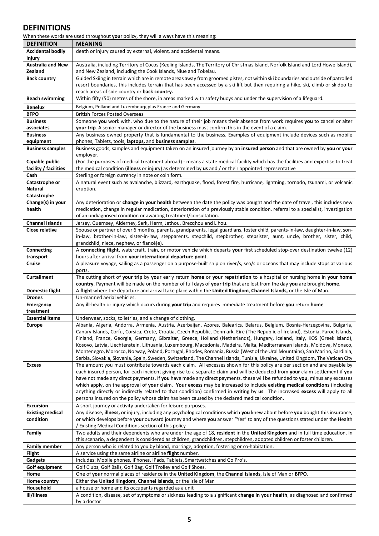# **DEFINITIONS**

When these words are used throughout **your** policy, they will always have this meaning:

| <b>DEFINITION</b>        | <b>MEANING</b>                                                                                                                              |
|--------------------------|---------------------------------------------------------------------------------------------------------------------------------------------|
| <b>Accidental bodily</b> | death or injury caused by external, violent, and accidental means.                                                                          |
| injury                   |                                                                                                                                             |
| <b>Australia and New</b> | Australia, including Territory of Cocos (Keeling Islands, The Territory of Christmas Island, Norfolk Island and Lord Howe Island),          |
| Zealand                  | and New Zealand, including the Cook Islands, Niue and Tokelau.                                                                              |
| <b>Back country</b>      | Guided Skiing in terrain which are in remote areas away from groomed pistes, not within ski boundaries and outside of patrolled             |
|                          | resort boundaries, this includes terrain that has been accessed by a ski lift but then requiring a hike, ski, climb or skidoo to            |
|                          | reach areas of side country or back country.                                                                                                |
| <b>Beach swimming</b>    | Within fifty (50) metres of the shore, in areas marked with safety buoys and under the supervision of a lifeguard.                          |
|                          |                                                                                                                                             |
| Benelux                  | Belgium, Polland and Luxembourg plus France and Germany                                                                                     |
| <b>BFPO</b>              | <b>British Forces Posted Overseas</b>                                                                                                       |
| <b>Business</b>          | Someone you work with, who due to the nature of their job means their absence from work requires you to cancel or alter                     |
| associates               | your trip. A senior manager or director of the business must confirm this in the event of a claim.                                          |
| <b>Business</b>          | Any business owned property that is fundamental to the business. Examples of equipment include devices such as mobile                       |
| equipment                | phones, Tablets, tools, laptops, and business samples.                                                                                      |
| <b>Business samples</b>  | Business goods, samples and equipment taken on an insured journey by an insured person and that are owned by you or your                    |
|                          | employer.                                                                                                                                   |
| Capable public           | (For the purposes of medical treatment abroad) - means a state medical facility which has the facilities and expertise to treat             |
| facility / facilities    | the medical condition (illness or injury) as determined by us and / or their appointed representative                                       |
| Cash                     | Sterling or foreign currency in note or coin form.                                                                                          |
| Catastrophe or           | A natural event such as avalanche, blizzard, earthquake, flood, forest fire, hurricane, lightning, tornado, tsunami, or volcanic            |
| Natural                  | eruption.                                                                                                                                   |
| Catastrophe              |                                                                                                                                             |
| Change(s) in your        | Any deterioration or change in your health between the date the policy was bought and the date of travel, this includes new                 |
| health                   | medication, change in regular medication, deterioration of a previously stable condition, referral to a specialist, investigation           |
|                          | of an undiagnosed condition or awaiting treatment/consultation.                                                                             |
| <b>Channel Islands</b>   | Jersey, Guernsey, Alderney, Sark, Herm, Jethou, Brecqhou and Lihou.                                                                         |
| <b>Close relative</b>    | Spouse or partner of over 6 months, parents, grandparents, legal guardians, foster child, parents-in-law, daughter-in-law, son-             |
|                          | in-law, brother-in-law, sister-in-law, stepparents, stepchild, stepbrother, stepsister, aunt, uncle, brother, sister, child,                |
|                          | grandchild, niece, nephew, or fiancé(e).                                                                                                    |
| Connecting               | A connecting flight, watercraft, train, or motor vehicle which departs your first scheduled stop-over destination twelve (12)               |
| transport                | hours after arrival from your international departure point.                                                                                |
| Cruise                   | A pleasure voyage, sailing as a passenger on a purpose-built ship on river/s, sea/s or oceans that may include stops at various             |
|                          |                                                                                                                                             |
|                          |                                                                                                                                             |
|                          | ports.                                                                                                                                      |
| <b>Curtailment</b>       | The cutting short of your trip by your early return home or your repatriation to a hospital or nursing home in your home                    |
|                          | country. Payment will be made on the number of full days of your trip that are lost from the day you are brought home.                      |
| <b>Domestic flight</b>   | A flight where the departure and arrival take place within the United Kingdom, Channel Islands, or the Isle of Man.                         |
| <b>Drones</b>            | Un-manned aerial vehicles.                                                                                                                  |
| <b>Emergency</b>         | Any ill-health or injury which occurs during your trip and requires immediate medical treatment before you return home                      |
| treatment                |                                                                                                                                             |
| <b>Essential items</b>   | Underwear, socks, toiletries, and a change of clothing.                                                                                     |
| <b>Europe</b>            | Albania, Algeria, Andorra, Armenia, Austria, Azerbaijan, Azores, Balearics, Belarus, Belgium, Bosnia-Herzegovina, Bulgaria,                 |
|                          | Canary Islands, Corfu, Corsica, Crete, Croatia, Czech Republic, Denmark, Eire (The Republic of Ireland), Estonia, Faroe Islands,            |
|                          | Finland, France, Georgia, Germany, Gibraltar, Greece, Holland (Netherlands), Hungary, Iceland, Italy, KOS (Greek Island),                   |
|                          | Kosovo, Latvia, Liechtenstein, Lithuania, Luxembourg, Macedonia, Madeira, Malta, Mediterranean Islands, Moldova, Monaco,                    |
|                          | Montenegro, Morocco, Norway, Poland, Portugal, Rhodes, Romania, Russia (West of the Ural Mountains), San Marino, Sardinia,                  |
|                          | Serbia, Slovakia, Slovenia, Spain, Sweden, Switzerland, The Channel Islands, Tunisia, Ukraine, United Kingdom, The Vatican City             |
| <b>Excess</b>            | The amount you must contribute towards each claim. All excesses shown for this policy are per section and are payable by                    |
|                          | each insured person, for each incident giving rise to a separate claim and will be deducted from your claim settlement if you               |
|                          | have not made any direct payments. If you have made any direct payments, these will be refunded to you, minus any excesses                  |
|                          | which apply, on the approval of your claim. Your excess may be increased to include existing medical conditions (including                  |
|                          | anything directly or indirectly related to that condition) confirmed in writing by us. The increased excess will apply to all               |
|                          | persons insured on the policy whose claim has been caused by the declared medical condition.                                                |
| <b>Excursion</b>         | A short journey or activity undertaken for leisure purposes.                                                                                |
| <b>Existing medical</b>  | Any disease, illness, or injury, including any psychological conditions which you knew about before you bought this insurance,              |
| condition                | or which develops before your outward journey and where you answer "Yes" to any of the questions stated under the Health                    |
|                          | / Existing Medical Conditions section of this policy                                                                                        |
| Family                   | Two adults and their dependents who are under the age of 18, resident in the United Kingdom and in full time education. In                  |
|                          | this scenario, a dependent is considered as children, grandchildren, stepchildren, adopted children or foster children.                     |
| <b>Family member</b>     | Any person who is related to you by blood, marriage, adoption, fostering or co-habitation.                                                  |
| <b>Flight</b>            | A service using the same airline or airline flight number.                                                                                  |
| Gadgets                  | Includes: Mobile phones, iPhones, iPads, Tablets, Smartwatches and Go Pro's.                                                                |
| Golf equipment           | Golf Clubs, Golf Balls, Golf Bag, Golf Trolley and Golf Shoes.                                                                              |
| Home                     | One of your normal places of residence in the United Kingdom, the Channel Islands, Isle of Man or BFPO.                                     |
| Home country             | Either the United Kingdom, Channel Islands, or the Isle of Man                                                                              |
| Household                | a house or home and its occupants regarded as a unit                                                                                        |
| Ill/Illness              | A condition, disease, set of symptoms or sickness leading to a significant change in your health, as diagnosed and confirmed<br>by a doctor |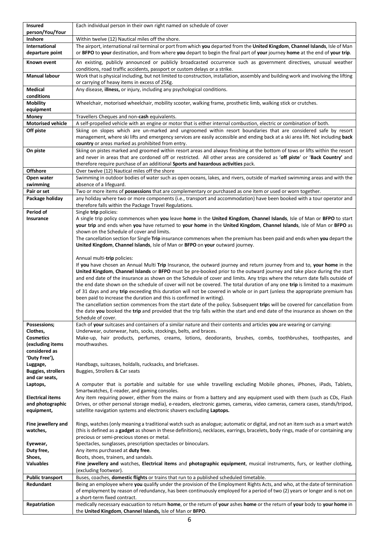| <b>Insured</b><br>person/You/Your | Each individual person in their own right named on schedule of cover                                                                                                                                                                                                                                                                                                                                                                                                                                                  |
|-----------------------------------|-----------------------------------------------------------------------------------------------------------------------------------------------------------------------------------------------------------------------------------------------------------------------------------------------------------------------------------------------------------------------------------------------------------------------------------------------------------------------------------------------------------------------|
| Inshore                           | Within twelve (12) Nautical miles off the shore.                                                                                                                                                                                                                                                                                                                                                                                                                                                                      |
| International<br>departure point  | The airport, international rail terminal or port from which you departed from the United Kingdom, Channel Islands, Isle of Man<br>or BFPO to your destination, and from where you depart to begin the final part of your journey home at the end of your trip.                                                                                                                                                                                                                                                        |
| Known event                       | An existing, publicly announced or publicly broadcasted occurrence such as government directives, unusual weather<br>conditions, road traffic accidents, passport or custom delays or a strike.                                                                                                                                                                                                                                                                                                                       |
| <b>Manual labour</b>              | Work that is physical including, but not limited to construction, installation, assembly and building work and involving the lifting<br>or carrying of heavy items in excess of 25Kg.                                                                                                                                                                                                                                                                                                                                 |
| Medical<br>conditions             | Any disease, illness, or injury, including any psychological conditions.                                                                                                                                                                                                                                                                                                                                                                                                                                              |
| <b>Mobility</b><br>equipment      | Wheelchair, motorised wheelchair, mobility scooter, walking frame, prosthetic limb, walking stick or crutches.                                                                                                                                                                                                                                                                                                                                                                                                        |
| Money                             | Travellers Cheques and non-cash equivalents.                                                                                                                                                                                                                                                                                                                                                                                                                                                                          |
| <b>Motorised vehicle</b>          | A self-propelled vehicle with an engine or motor that is either internal combustion, electric or combination of both.                                                                                                                                                                                                                                                                                                                                                                                                 |
| Off piste                         | Skiing on slopes which are un-marked and ungroomed within resort boundaries that are considered safe by resort<br>management, where ski lifts and emergency services are easily accessible and ending back at a ski area lift. Not including back<br>country or areas marked as prohibited from entry.                                                                                                                                                                                                                |
| On piste                          | Skiing on pistes marked and groomed within resort areas and always finishing at the bottom of tows or lifts within the resort<br>and never in areas that are cordoned off or restricted. All other areas are considered as 'off piste' or 'Back Country' and<br>therefore require purchase of an additional Sports and hazardous activities pack.                                                                                                                                                                     |
| <b>Offshore</b>                   | Over twelve (12) Nautical miles off the shore                                                                                                                                                                                                                                                                                                                                                                                                                                                                         |
| Open water<br>swimming            | Swimming in outdoor bodies of water such as open oceans, lakes, and rivers, outside of marked swimming areas and with the<br>absence of a lifeguard.                                                                                                                                                                                                                                                                                                                                                                  |
| Pair or set                       | Two or more items of possessions that are complementary or purchased as one item or used or worn together.                                                                                                                                                                                                                                                                                                                                                                                                            |
| Package holiday                   | any holiday where two or more components (i.e., transport and accommodation) have been booked with a tour operator and<br>therefore falls within the Package Travel Regulations.                                                                                                                                                                                                                                                                                                                                      |
| Period of<br>Insurance            | Single trip policies:<br>A single trip policy commences when you leave home in the United Kingdom, Channel Islands, Isle of Man or BFPO to start                                                                                                                                                                                                                                                                                                                                                                      |
|                                   | your trip and ends when you have returned to your home in the United Kingdom, Channel Islands, Isle of Man or BFPO as                                                                                                                                                                                                                                                                                                                                                                                                 |
|                                   | shown on the Schedule of cover and limits.                                                                                                                                                                                                                                                                                                                                                                                                                                                                            |
|                                   | The cancellation section for Single Trip insurance commences when the premium has been paid and ends when you depart the<br>United Kingdom, Channel Islands, Isle of Man or BFPO on your outward journey.                                                                                                                                                                                                                                                                                                             |
|                                   | Annual multi-trip policies:                                                                                                                                                                                                                                                                                                                                                                                                                                                                                           |
|                                   | If you have chosen an Annual Multi Trip Insurance, the outward journey and return journey from and to, your home in the                                                                                                                                                                                                                                                                                                                                                                                               |
|                                   | United Kingdom, Channel Islands or BFPO must be pre-booked prior to the outward journey and take place during the start<br>and end date of the insurance as shown on the Schedule of cover and limits. Any trips where the return date falls outside of<br>the end date shown on the schedule of cover will not be covered. The total duration of any one trip is limited to a maximum<br>of 31 days and any trip exceeding this duration will not be covered in whole or in part (unless the appropriate premium has |
|                                   | been paid to increase the duration and this is confirmed in writing).                                                                                                                                                                                                                                                                                                                                                                                                                                                 |
|                                   | The cancellation section commences from the start date of the policy. Subsequent trips will be covered for cancellation from<br>the date you booked the trip and provided that the trip falls within the start and end date of the insurance as shown on the<br>Schedule of cover.                                                                                                                                                                                                                                    |
| Possessions;                      | Each of your suitcases and containers of a similar nature and their contents and articles you are wearing or carrying:                                                                                                                                                                                                                                                                                                                                                                                                |
| Clothes,<br><b>Cosmetics</b>      | Underwear, outerwear, hats, socks, stockings, belts, and braces.<br>Make-up, hair products, perfumes, creams, lotions, deodorants, brushes, combs, toothbrushes, toothpastes, and                                                                                                                                                                                                                                                                                                                                     |
| (excluding items                  | mouthwashes.                                                                                                                                                                                                                                                                                                                                                                                                                                                                                                          |
| considered as                     |                                                                                                                                                                                                                                                                                                                                                                                                                                                                                                                       |
| 'Duty Free'),<br>Luggage,         | Handbags, suitcases, holdalls, rucksacks, and briefcases.                                                                                                                                                                                                                                                                                                                                                                                                                                                             |
| <b>Buggies, strollers</b>         | Buggies, Strollers & Car seats                                                                                                                                                                                                                                                                                                                                                                                                                                                                                        |
| and car seats,                    |                                                                                                                                                                                                                                                                                                                                                                                                                                                                                                                       |
| Laptops,                          | A computer that is portable and suitable for use while travelling excluding Mobile phones, iPhones, iPads, Tablets,<br>Smartwatches, E-reader, and gaming consoles.                                                                                                                                                                                                                                                                                                                                                   |
| <b>Electrical items</b>           | Any item requiring power, either from the mains or from a battery and any equipment used with them (such as CDs, Flash                                                                                                                                                                                                                                                                                                                                                                                                |
| and photographic<br>equipment,    | Drives, or other personal storage media), e-readers, electronic games, cameras, video cameras, camera cases, stands/tripod,<br>satellite navigation systems and electronic shavers excluding Laptops.                                                                                                                                                                                                                                                                                                                 |
| Fine jewellery and                | Rings, watches (only meaning a traditional watch such as analogue; automatic or digital, and not an item such as a smart watch                                                                                                                                                                                                                                                                                                                                                                                        |
| watches,                          | (this is defined as a gadget as shown in these definitions), necklaces, earrings, bracelets, body rings, made of or containing any                                                                                                                                                                                                                                                                                                                                                                                    |
|                                   | precious or semi-precious stones or metal.<br>Spectacles, sunglasses, prescription spectacles or binoculars.                                                                                                                                                                                                                                                                                                                                                                                                          |
| Eyewear,<br>Duty free,            | Any items purchased at duty free.                                                                                                                                                                                                                                                                                                                                                                                                                                                                                     |
| Shoes,                            | Boots, shoes, trainers, and sandals.                                                                                                                                                                                                                                                                                                                                                                                                                                                                                  |
| <b>Valuables</b>                  | Fine jewellery and watches, Electrical items and photographic equipment, musical instruments, furs, or leather clothing,<br>(excluding footwear).                                                                                                                                                                                                                                                                                                                                                                     |
| <b>Public transport</b>           | Buses, coaches, domestic flights or trains that run to a published scheduled timetable.                                                                                                                                                                                                                                                                                                                                                                                                                               |
| Redundant                         | Being an employee where you qualify under the provision of the Employment Rights Acts, and who, at the date of termination<br>of employment by reason of redundancy, has been continuously employed for a period of two (2) years or longer and is not on<br>a short-term fixed contract.                                                                                                                                                                                                                             |
| Repatriation                      | medically necessary evacuation to return home, or the return of your ashes home or the return of your body to your home in<br>the United Kingdom, Channel Islands, Isle of Man or BFPO.                                                                                                                                                                                                                                                                                                                               |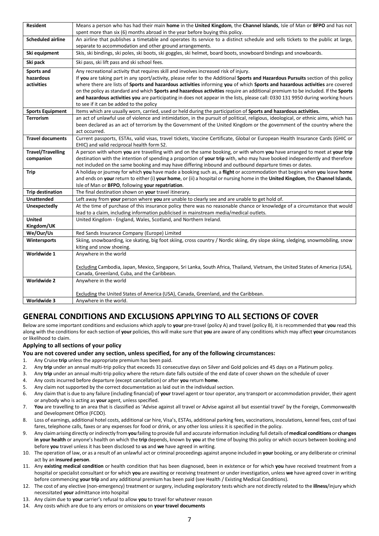| <b>Resident</b>          | Means a person who has had their main home in the United Kingdom, the Channel Islands, Isle of Man or BFPO and has not<br>spent more than six (6) months abroad in the year before buying this policy. |
|--------------------------|--------------------------------------------------------------------------------------------------------------------------------------------------------------------------------------------------------|
|                          |                                                                                                                                                                                                        |
| <b>Scheduled airline</b> | An airline that publishes a timetable and operates its service to a distinct schedule and sells tickets to the public at large,<br>separate to accommodation and other ground arrangements.            |
| Ski equipment            | Skis, ski bindings, ski poles, ski boots, ski goggles, ski helmet, board boots, snowboard bindings and snowboards.                                                                                     |
| Ski pack                 | Ski pass, ski lift pass and ski school fees.                                                                                                                                                           |
| Sports and               | Any recreational activity that requires skill and involves increased risk of injury.                                                                                                                   |
| hazardous                | If you are taking part in any sport/activity, please refer to the Additional Sports and Hazardous Pursuits section of this policy                                                                      |
| activities               | where there are lists of Sports and hazardous activities informing you of which Sports and hazardous activities are covered                                                                            |
|                          | on the policy as standard and which Sports and hazardous activities require an additional premium to be included. If the Sports                                                                        |
|                          | and hazardous activities you are participating in does not appear in the lists, please call: 0330 131 9950 during working hours                                                                        |
|                          | to see if it can be added to the policy                                                                                                                                                                |
| <b>Sports Equipment</b>  | Items which are usually worn, carried, used or held during the participation of Sports and hazardous activities.                                                                                       |
| <b>Terrorism</b>         | an act of unlawful use of violence and intimidation, in the pursuit of political, religious, ideological, or ethnic aims, which has                                                                    |
|                          | been declared as an act of terrorism by the Government of the United Kingdom or the government of the country where the                                                                                |
|                          | act occurred.                                                                                                                                                                                          |
| <b>Travel documents</b>  | Current passports, ESTAs, valid visas, travel tickets, Vaccine Certificate, Global or European Health Insurance Cards (GHIC or                                                                         |
|                          | EHIC) and valid reciprocal health form S2.                                                                                                                                                             |
| <b>Travel/Travelling</b> | A person with whom you are travelling with and on the same booking, or with whom you have arranged to meet at your trip                                                                                |
|                          |                                                                                                                                                                                                        |
| companion                | destination with the intention of spending a proportion of your trip with, who may have booked independently and therefore                                                                             |
|                          | not included on the same booking and may have differing inbound and outbound departure times or dates.                                                                                                 |
| <b>Trip</b>              | A holiday or journey for which you have made a booking such as, a flight or accommodation that begins when you leave home                                                                              |
|                          | and ends on your return to either (i) your home, or (ii) a hospital or nursing home in the United Kingdom, the Channel Islands,                                                                        |
|                          | Isle of Man or BFPO, following your repatriation.                                                                                                                                                      |
| <b>Trip destination</b>  | The final destination shown on your travel itinerary.                                                                                                                                                  |
| <b>Unattended</b>        | Left away from your person where you are unable to clearly see and are unable to get hold of.                                                                                                          |
| <b>Unexpectedly</b>      | At the time of purchase of this insurance policy there was no reasonable chance or knowledge of a circumstance that would                                                                              |
|                          | lead to a claim, including information publicised in mainstream media/medical outlets.                                                                                                                 |
| <b>United</b>            | United Kingdom - England, Wales, Scotland, and Northern Ireland.                                                                                                                                       |
| Kingdom/UK               |                                                                                                                                                                                                        |
| We/Our/Us                | Red Sands Insurance Company (Europe) Limited                                                                                                                                                           |
| Wintersports             | Skiing, snowboarding, ice skating, big foot skiing, cross country / Nordic skiing, dry slope skiing, sledging, snowmobiling, snow                                                                      |
|                          | kiting and snow shoeing.                                                                                                                                                                               |
| Worldwide 1              | Anywhere in the world                                                                                                                                                                                  |
|                          |                                                                                                                                                                                                        |
|                          |                                                                                                                                                                                                        |
|                          | Excluding Cambodia, Japan, Mexico, Singapore, Sri Lanka, South Africa, Thailand, Vietnam, the United States of America (USA),                                                                          |
|                          | Canada, Greenland, Cuba, and the Caribbean.                                                                                                                                                            |
| <b>Worldwide 2</b>       | Anywhere in the world                                                                                                                                                                                  |
|                          |                                                                                                                                                                                                        |
|                          | Excluding the United States of America (USA), Canada, Greenland, and the Caribbean.                                                                                                                    |
| Worldwide 3              | Anywhere in the world.                                                                                                                                                                                 |

# **GENERAL CONDITIONS AND EXCLUSIONS APPLYING TO ALL SECTIONS OF COVER**

Below are some important conditions and exclusions which apply to **your** pre-travel (policy A) and travel (policy B), it is recommended that **you** read this along with the conditions for each section of **your** policies, this will make sure that **you** are aware of any conditions which may affect **your** circumstances or likelihood to claim.

# **Applying to all sections of your policy**

# **You are not covered under any section, unless specified, for any of the following circumstances:**

- 1. Any Cruise **trip** unless the appropriate premium has been paid.
- 2. Any **trip** under an annual multi-trip policy that exceeds 31 consecutive days on Silver and Gold policies and 45 days on a Platinum policy.
- 3. Any **trip** under an annual multi-trip policy where the return date falls outside of the end date of cover shown on the schedule of cover
- 4. Any costs incurred before departure (except cancellation) or after **you** return **home**.
- 5. Any claim not supported by the correct documentation as laid out in the individual section.
- 6. Any claim that is due to any failure (including financial) of **your** travel agent or tour operator, any transport or accommodation provider, their agent or anybody who is acting as **your** agent, unless specified.
- 7. **You** are travelling to an area that is classified as 'Advise against all travel or Advise against all but essential travel' by the Foreign, Commonwealth and Development Office (FCDO).
- 8. Loss of earnings, additional hotel costs, additional car hire, Visa's, ESTAs, additional parking fees, vaccinations, inoculations, kennel fees, cost of taxi fares, telephone calls, faxes or any expenses for food or drink, or any other loss unless it is specified in the policy.
- 9. Any claim arising directly or indirectly from **you** failing to provide full and accurate information including full details of **medical conditions** or **changes in your health** or anyone's health on which the **trip** depends, known by **you** at the time of buying this policy or which occurs between booking and before **you** travel unless it has been disclosed to **us** and **we** have agreed in writing.
- 10. The operation of law, or as a result of an unlawful act or criminal proceedings against anyone included in **your** booking, or any deliberate or criminal act by an **insured person**.
- 11. Any **existing medical condition** or health condition that has been diagnosed, been in existence or for which **you** have received treatment from a hospital or specialist consultant or for which **you** are awaiting or receiving treatment or under investigation, unless **we** have agreed cover in writing before commencing **your trip** and any additional premium has been paid (see Health / Existing Medical Conditions).
- 12. The cost of any elective (non-emergency) treatment or surgery, including exploratory tests which are not directly related to the **illness**/injury which necessitated **your** admittance into hospital
- 13. Any claim due to **your** carrier's refusal to allow **you** to travel for whatever reason
- 14. Any costs which are due to any errors or omissions on **your travel documents**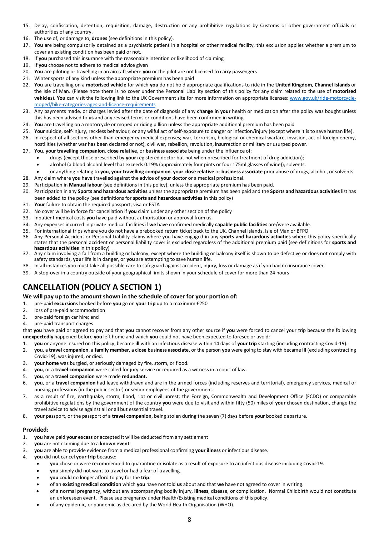- 15. Delay, confiscation, detention, requisition, damage, destruction or any prohibitive regulations by Customs or other government officials or authorities of any country.
- 16. The use of, or damage to, **drones** (see definitions in this policy).
- 17. **You** are being compulsorily detained as a psychiatric patient in a hospital or other medical facility, this exclusion applies whether a premium to cover an existing condition has been paid or not.
- 18. If **you** purchased this insurance with the reasonable intention or likelihood of claiming
- 19. If **you** choose not to adhere to medical advice given
- 20. **You** are piloting or travelling in an aircraft where **you** or the pilot are not licensed to carry passengers
- 21. Winter sports of any kind unless the appropriate premium has been paid
- 22. **You** are travelling on a **motorised vehicle** for which **you** do not hold appropriate qualifications to ride in the **United Kingdom**, **Channel Islands** or the Isle of Man. (Please note there is no cover under the Personal Liability section of this policy for any claim related to the use of **motorised vehicle**s). **You** can visit the following link to the UK Government site for more information on appropriate licenses: www.gov.uk/ride-motorcyclemoped/bike-categories-ages-and-licence-requirements
- 23. Any payments made, or charges levied after the date of diagnosis of any **change in your** health or medication after the policy was bought unless this has been advised to **us** and any revised terms or conditions have been confirmed in writing.
- 24. **You** are travelling on a motorcycle or moped or riding pillion unless the appropriate additional premium has been paid
- 25. **Your** suicide, self-injury, reckless behaviour, or any wilful act of self-exposure to danger or infection/injury (except where it is to save human life).
- 26. In respect of all sections other than emergency medical expenses; war, terrorism, biological or chemical warfare, invasion, act of foreign enemy, hostilities (whether war has been declared or not), civil war, rebellion, revolution, insurrection or military or usurped power.
- 27. **You**, **your travelling companion**, **close relative,** or **business associate** being under the influence of:
	- drugs (except those prescribed by **your** registered doctor but not when prescribed for treatment of drug addiction);
	- alcohol (a blood alcohol level that exceeds 0.19% (approximately four pints or four 175ml glasses of wine)), solvents.
- or anything relating to **you**, **your travelling companion**, **your close relative** or **business associate** prior abuse of drugs, alcohol, or solvents. 28. Any claim where **you** have travelled against the advice of **your** doctor or a medical professional.
- 29. Participation in **Manual labour** (see definitions in this policy), unless the appropriate premium has been paid.
- 30. Participation in any **Sports and hazardous activities** unless the appropriate premium has been paid and the **Sports and hazardous activities** list has been added to the policy (see definitions for **sports and hazardous activities** in this policy)
- 31. **Your** failure to obtain the required passport, visa or ESTA
- 32. No cover will be in force for cancellation if **you** claim under any other section of the policy
- 33. Inpatient medical costs **you** have paid without authorisation or approval from us.
- 34. Any expenses incurred in private medical facilities if **we** have confirmed medically **capable public facilities** are/were available.
- 35. For international trips where you do not have a prebooked return ticket back to the UK, Channel Islands, Isle of Man or BFPO
- 36. Any Personal Accident or Personal Liability claims where you have engaged in any **sports and hazardous activities** where this policy specifically states that the personal accident or personal liability cover is excluded regardless of the additional premium paid (see definitions for **sports and hazardous activities** in this policy)
- 37. Any claim involving a fall from a building or balcony, except where the building or balcony itself is shown to be defective or does not comply with safety standards, **your** life is in danger, or **you** are attempting to save human life.
- 38. In all instances you must take all possible care to safeguard against accident, injury, loss or damage as if you had no insurance cover.
- 39. A stop-over in a country outside of your geographical limits shown in your schedule of cover for more than 24 hours

# **CANCELLATION (POLICY A SECTION 1)**

#### **We will pay up to the amount shown in the schedule of cover for your portion of:**

- 1. pre-paid **excursion**s booked before **you** go on **your trip** up to a maximum £250
- 2. loss of pre-paid accommodation
- 3. pre-paid foreign car hire; and
- 4. pre-paid transport charges
- that **you** have paid or agreed to pay and that **you** cannot recover from any other source if **you** were forced to cancel your trip because the following **unexpectedly** happened before **you** left home and which **you** could not have been expected to foresee or avoid:
- 1. **you** or anyone insured on this policy, became **ill** with an infectious disease within 14 days of **your trip** starting (including contracting Covid-19).
- 2. **you**, a **travel companion**, a **family member**, a **close business associate**, or the person **you** were going to stay with became **ill** (excluding contracting Covid-19), was injured, or died.
- 3. **your home** was burgled, or seriously damaged by fire, storm, or flood.
- 4. **you**, or a **travel companion** were called for jury service or required as a witness in a court of law.
- 5. **you**, or a **travel companion** were made **redundant.**
- 6. **you**, or a **travel companion** had leave withdrawn and are in the armed forces (including reserves and territorial), emergency services, medical or nursing professions (in the public sector) or senior employees of the government.
- 7. as a result of fire, earthquake, storm, flood, riot or civil unrest; the Foreign, Commonwealth and Development Office (FCDO) or comparable prohibitive regulations by the government of the country **you** were due to visit and within fifty (50) miles of **your** chosen destination, change the travel advice to advise against all or all but essential travel.
- 8. **your** passport, or the passport of a **travel companion**, being stolen during the seven (7) days before **your** booked departure.

### **Provided:**

- 1. **you** have paid **your excess** or accepted it will be deducted from any settlement
- 2. **you** are not claiming due to a **known event**
- 3. **you** are able to provide evidence from a medical professional confirming **your illness** or infectious disease.
- 4. **you** did not cancel **your trip** because:
	- **you** chose or were recommended to quarantine or isolate as a result of exposure to an infectious disease including Covid-19.
	- **you** simply did not want to travel or had a fear of travelling.
	- **you** could no longer afford to pay for the **trip**.
	- of an **existing medical condition** which **you** have not told **us** about and that **we** have not agreed to cover in writing.
	- of a normal pregnancy, without any accompanying bodily injury, **illness**, disease, or complication. Normal Childbirth would not constitute an unforeseen event. Please see pregnancy under Health/Existing medical conditions of this policy.
	- of any epidemic, or pandemic as declared by the World Health Organisation (WHO).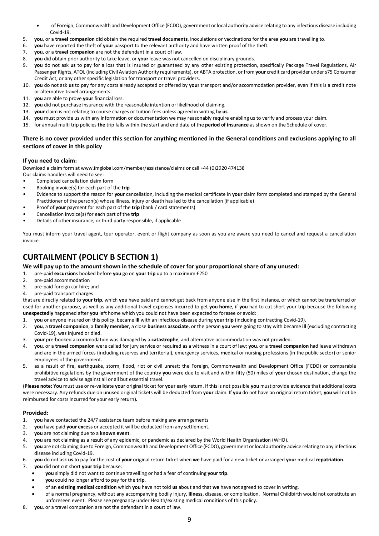- of Foreign, Commonwealth and Development Office (FCDO), government or local authority advice relating to any infectious disease including Covid-19.
- 5. **you**, or a **travel companion** did obtain the required **travel documents**, inoculations or vaccinations for the area **you** are travelling to.
- 6. **you** have reported the theft of **your** passport to the relevant authority and have written proof of the theft.
- 7. **you**, or a **travel companion** are not the defendant in a court of law.
- 8. **you** did obtain prior authority to take leave, or **your** leave was not cancelled on disciplinary grounds.
- 9. **you** do not ask **us** to pay for a loss that is insured or guaranteed by any other existing protection, specifically Package Travel Regulations, Air Passenger Rights, ATOL (including Civil Aviation Authority requirements), or ABTA protection, or from **your** credit card provider under s75 Consumer Credit Act, or any other specific legislation for transport or travel providers.
- 10. **you** do not ask **us** to pay for any costs already accepted or offered by **your** transport and/or accommodation provider, even if this is a credit note or alternative travel arrangements.
- 11. **you** are able to prove **your** financial loss.
- 12. **you** did not purchase insurance with the reasonable intention or likelihood of claiming.
- 13. **your** claim is not relating to course charges or tuition fees unless agreed in writing by **us**.
- 14. **you** must provide us with any information or documentation we may reasonably require enabling us to verify and process your claim.
- 15. for annual multi trip policies **the** trip falls within the start and end date of the **period of insurance** as shown on the Schedule of cover.

## **There is no cover provided under this section for anything mentioned in the General conditions and exclusions applying to all sections of cover in this policy**

### **If you need to claim:**

Download a claim form at www.imglobal.com/member/assistance/claims or call +44 (0)2920 474138

- Our claims handlers will need to see:
- Completed cancellation claim form
- Booking invoice(s) for each part of the **trip** • Evidence to support the reason for **your** cancellation, including the medical certificate in **your** claim form completed and stamped by the General
- Practitioner of the person(s) whose illness, injury or death has led to the cancellation (if applicable)
- Proof of **your** payment for each part of the **trip** (bank / card statements)
- Cancellation invoice(s) for each part of the **trip**
- Details of other insurance, or third party responsible, if applicable

You must inform your travel agent, tour operator, event or flight company as soon as you are aware you need to cancel and request a cancellation invoice.

# **CURTAILMENT (POLICY B SECTION 1)**

## **We will pay up to the amount shown in the schedule of cover for your proportional share of any unused:**

1. pre-paid **excursion**s booked before **you** go on **your trip** up to a maximum £250

- 2. pre-paid accommodation
- 3. pre-paid foreign car hire; and
- 4. pre-paid transport charges

that are directly related to **your trip**, which **you** have paid and cannot get back from anyone else in the first instance, or which cannot be transferred or used for another purpose, as well as any additional travel expenses incurred to get **you home,** if **you** had to cut short your trip because the following **unexpectedly** happened after **you** left home which you could not have been expected to foresee or avoid:

- 1. **you** or anyone insured on this policy, became **ill** with an infectious disease during **your trip** (including contracting Covid-19).
- 2. **you**, a **travel companion**, a **family member**, a close **business associate**, or the person **you** were going to stay with became **ill** (excluding contracting Covid-19), was injured or died.
- 3. **your** pre-booked accommodation was damaged by a **catastrophe**, and alternative accommodation was not provided.
- 4. **you**, or a **travel companion** were called for jury service or required as a witness in a court of law; **you**, or a **travel companion** had leave withdrawn and are in the armed forces (including reserves and territorial), emergency services, medical or nursing professions (in the public sector) or senior employees of the government.
- 5. as a result of fire, earthquake, storm, flood, riot or civil unrest; the Foreign, Commonwealth and Development Office (FCDO) or comparable prohibitive regulations by the government of the country **you** were due to visit and within fifty (50) miles of **your** chosen destination, change the travel advice to advise against all or all but essential travel.

(**Please note: You** must use or re-validate **your** original ticket for **your** early return. If this is not possible **you** must provide evidence that additional costs were necessary. Any refunds due on unused original tickets will be deducted from **your** claim. If **you** do not have an original return ticket, **you** will not be reimbursed for costs incurred for your early return**).**

### **Provided:**

- 1. **you** have contacted the 24/7 assistance team before making any arrangements
- 2. **you** have paid **your excess** or accepted it will be deducted from any settlement.
- 3. **you** are not claiming due to a **known event**.
- 4. **you** are not claiming as a result of any epidemic, or pandemic as declared by the World Health Organisation (WHO).
- 5. **you** are not claiming due to Foreign, Commonwealth and Development Office (FCDO), government or local authority advice relating to any infectious disease including Covid-19.
- 6. **you** do not ask **us** to pay for the cost of **your** original return ticket when **we** have paid for a new ticket or arranged **your** medical **repatriation**.
- 7. **you** did not cut short **your trip** because:
	- **you** simply did not want to continue travelling or had a fear of continuing **your trip**.
	- **you** could no longer afford to pay for the **trip**.
	- of an **existing medical condition** which **you** have not told **us** about and that **we** have not agreed to cover in writing.
	- of a normal pregnancy, without any accompanying bodily injury, **illness**, disease, or complication. Normal Childbirth would not constitute an unforeseen event. Please see pregnancy under Health/existing medical conditions of this policy.
- 8. **you**, or a travel companion are not the defendant in a court of law.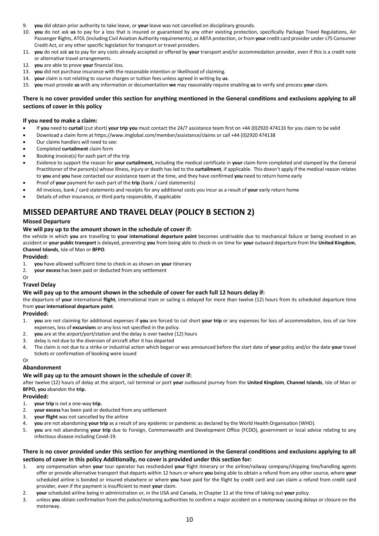- 9. **you** did obtain prior authority to take leave, or **your** leave was not cancelled on disciplinary grounds.
- 10. **you** do not ask **us** to pay for a loss that is insured or guaranteed by any other existing protection, specifically Package Travel Regulations, Air Passenger Rights, ATOL (including Civil Aviation Authority requirements), or ABTA protection, or from **your** credit card provider under s75 Consumer Credit Act, or any other specific legislation for transport or travel providers.
- 11. **you** do not ask **us** to pay for any costs already accepted or offered by **your** transport and/or accommodation provider, even if this is a credit note or alternative travel arrangements.
- 12. **you** are able to prove **your** financial loss.
- 13. **you** did not purchase insurance with the reasonable intention or likelihood of claiming.
- 14. **your** claim is not relating to course charges or tuition fees unless agreed in writing by **us**.
- 15. **you** must provide **us** with any information or documentation **we** may reasonably require enabling **us** to verify and process **your** claim.

### **There is no cover provided under this section for anything mentioned in the General conditions and exclusions applying to all sections of cover in this policy**

### **If you need to make a claim:**

- If **you** need to **curtail** (cut short) **your trip you** must contact the 24/7 assistance team first on +44 (0)2920 474133 for you claim to be valid
- Download a claim form at https://www.imglobal.com/member/assistance/claims or call +44 (0)2920 474138
- Our claims handlers will need to see:
- Completed **curtailment** claim form
- Booking invoice(s) for each part of the trip
- Evidence to support the reason for **your curtailment,** including the medical certificate in **your** claim form completed and stamped by the General Practitioner of the person(s) whose illness, injury or death has led to the **curtailment**, if applicable. This doesn't apply if the medical reason relates to **you** and **you** have contacted our assistance team at the time, and they have confirmed **you** need to return home early
- Proof of **your** payment for each part of the **trip** (bank / card statements)
- All invoices, bank / card statements and receipts for any additional costs you incur as a result of **your** early return home
- Details of other insurance, or third party responsible, if applicable

# **MISSED DEPARTURE AND TRAVEL DELAY (POLICY B SECTION 2)**

### **Missed Departure**

### **We will pay up to the amount shown in the schedule of cover if:**

the vehicle in which **you** are travelling to **your international departure point** becomes undrivable due to mechanical failure or being involved in an accident or **your public transport** is delayed, preventing **you** from being able to check-in on time for **your** outward departure from the **United Kingdom**, **Channel Islands**, Isle of Man or **BFPO**.

#### **Provided:**

- 1. **you** have allowed sufficient time to check-in as shown on **your** itinerary
- 2. **your excess** has been paid or deducted from any settlement

# Or

### **Travel Delay**

### **We will pay up to the amount shown in the schedule of cover for each full 12 hours delay if:**

the departure of **your** international **flight**, international train or sailing is delayed for more than twelve (12) hours from its scheduled departure time from **your international departure point**.

### **Provided:**

- 1. **you** are not claiming for additional expenses if **you** are forced to cut short **your trip** or any expenses for loss of accommodation, loss of car hire expenses, loss of **excursion**s or any loss not specified in the policy.
- 2. **you** are at the airport/port/station and the delay is over twelve (12) hours
- 3. delay is not due to the diversion of aircraft after it has departed
- 4. The claim is not due to a strike or industrial action which began or was announced before the start date of **your** policy and/or the date **your** travel tickets or confirmation of booking were issued

#### Or **Abandonment**

# **We will pay up to the amount shown in the schedule of cover if:**

after twelve (12) hours of delay at the airport, rail terminal or port **your** outbound journey from the **United Kingdom**, **Channel Islands**, Isle of Man or **BFPO, you** abandon the **trip.**

### **Provided:**

- 1. **your trip** is not a one-way **trip.**
- 2. **your excess** has been paid or deducted from any settlement
- 3. **your flight** was not cancelled by the airline
- 4. **you** are not abandoning **your trip** as a result of any epidemic or pandemic as declared by the World Health Organisation (WHO).
- 5. **you** are not abandoning **your trip** due to Foreign, Commonwealth and Development Office (FCDO), government or local advice relating to any infectious disease including Covid-19.

### **There is no cover provided under this section for anything mentioned in the General conditions and exclusions applying to all sections of cover in this policy Additionally, no cover is provided under this section for:**

- 1. any compensation when **your** tour operator has rescheduled **your** flight itinerary or the airline/railway company/shipping line/handling agents offer or provide alternative transport that departs within 12 hours or where **you** being able to obtain a refund from any other source, where **your** scheduled airline is bonded or insured elsewhere or where **you** have paid for the flight by credit card and can claim a refund from credit card provider, even if the payment is insufficient to meet **your** claim.
- 2. **your** scheduled airline being in administration or, in the USA and Canada, in Chapter 11 at the time of taking out **your** policy.
- 3. unless **you** obtain confirmation from the police/motoring authorities to confirm a major accident on a motorway causing delays or closure on the motorway.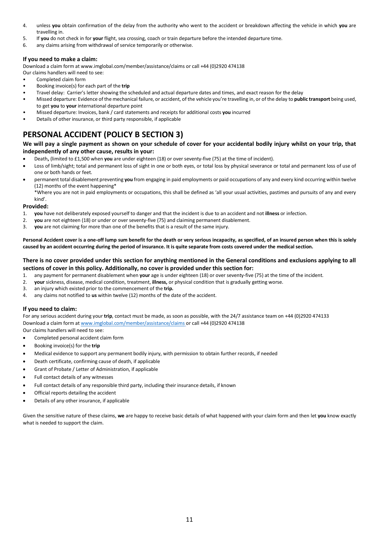- 4. unless **you** obtain confirmation of the delay from the authority who went to the accident or breakdown affecting the vehicle in which **you** are travelling in.
- 5. If **you** do not check in for **your** flight, sea crossing, coach or train departure before the intended departure time.
- 6. any claims arising from withdrawal of service temporarily or otherwise.

# **If you need to make a claim:**

Download a claim form at www.imglobal.com/member/assistance/claims or call +44 (0)2920 474138

- Our claims handlers will need to see: • Completed claim form
- Booking invoice(s) for each part of the **trip**
- Travel delay: Carrier's letter showing the scheduled and actual departure dates and times, and exact reason for the delay
- Missed departure: Evidence of the mechanical failure, or accident, of the vehicle you're travelling in, or of the delay to **public transport** being used, to get **you** to **your** international departure point
- Missed departure: Invoices, bank / card statements and receipts for additional costs **you** incurred
- Details of other insurance, or third party responsible, if applicable

# **PERSONAL ACCIDENT (POLICY B SECTION 3)**

# **We will pay a single payment as shown on your schedule of cover for your accidental bodily injury whilst on your trip, that independently of any other cause, results in your:**

- Death**,** (limited to £1,500 when **you** are under eighteen (18) or over seventy-five (75) at the time of incident).
- Loss of limb/sight; total and permanent loss of sight in one or both eyes, or total loss by physical severance or total and permanent loss of use of one or both hands or feet.
- permanent total disablement preventing **you** from engaging in paid employments or paid occupations of any and every kind occurring within twelve  $(12)$  months of the event happening\*

\*Where you are not in paid employments or occupations, this shall be defined as 'all your usual activities, pastimes and pursuits of any and every kind'.

# **Provided:**

- 1. **you** have not deliberately exposed yourself to danger and that the incident is due to an accident and not **illness** or infection.
- 2. **you** are not eighteen (18) or under or over seventy-five (75) and claiming permanent disablement.
- 3. **you** are not claiming for more than one of the benefits that is a result of the same injury.

#### **Personal Accident cover is a one-off lump sum benefit for the death or very serious incapacity, as specified, of an insured person when this is solely caused by an accident occurring during the period of insurance. It is quite separate from costs covered under the medical section.**

## **There is no cover provided under this section for anything mentioned in the General conditions and exclusions applying to all sections of cover in this policy. Additionally, no cover is provided under this section for:**

- 1. any payment for permanent disablement when **your** age is under eighteen (18) or over seventy-five (75) at the time of the incident.
- 2. **your** sickness, disease, medical condition, treatment, **illness,** or physical condition that is gradually getting worse.
- 3. an injury which existed prior to the commencement of the **trip.**
- 4. any claims not notified to **us** within twelve (12) months of the date of the accident.

# **If you need to claim:**

For any serious accident during your **trip**, contact must be made, as soon as possible, with the 24/7 assistance team on +44 (0)2920 474133 Download a claim form a[t www.imglobal.com/member/assistance/claims](http://www.imglobal.com/member/assistance/claims) or call +44 (0)2920 474138

Our claims handlers will need to see:

- Completed personal accident claim form
- Booking invoice(s) for the **trip**
- Medical evidence to support any permanent bodily injury, with permission to obtain further records, if needed
- Death certificate, confirming cause of death, if applicable
- Grant of Probate / Letter of Administration, if applicable
- Full contact details of any witnesses
- Full contact details of any responsible third party, including their insurance details, if known
- Official reports detailing the accident
- Details of any other insurance, if applicable

Given the sensitive nature of these claims, **we** are happy to receive basic details of what happened with your claim form and then let **you** know exactly what is needed to support the claim.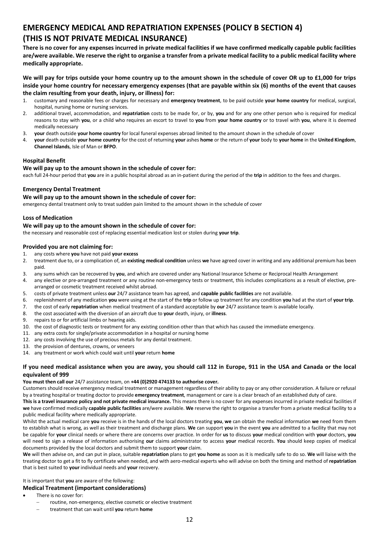# **EMERGENCY MEDICAL AND REPATRIATION EXPENSES (POLICY B SECTION 4) (THIS IS NOT PRIVATE MEDICAL INSURANCE)**

**There is no cover for any expenses incurred in private medical facilities if we have confirmed medically capable public facilities are/were available. We reserve the right to organise a transfer from a private medical facility to a public medical facility where medically appropriate.**

**We will pay for trips outside your home country up to the amount shown in the schedule of cover OR up to £1,000 for trips inside your home country for necessary emergency expenses (that are payable within six (6) months of the event that causes the claim resulting from your death, injury, or illness) for:**

- 1. customary and reasonable fees or charges for necessary and **emergency treatment**, to be paid outside **your home country** for medical, surgical, hospital, nursing home or nursing services.
- 2. additional travel, accommodation, and **repatriation** costs to be made for, or by, **you** and for any one other person who is required for medical reasons to stay with **you**, or a child who requires an escort to travel to **you** from **your home country** or to travel with **you**, where it is deemed medically necessary following **emergency treatment**.
- 3. **your** death outside **your home country** for local funeral expenses abroad limited to the amount shown in the schedule of cover
- 4. **your** death outside **your home country** for the cost of returning **your** ashes **home** or the return of **your** body to **your home** in the **United Kingdom**, **Channel Islands**, Isle of Man or **BFPO**.

### **Hospital Benefit**

### **We will pay up to the amount shown in the schedule of cover for:**

each full 24-hour period that **you** are in a public hospital abroad as an in-patient during the period of the **trip** in addition to the fees and charges.

### **Emergency Dental Treatment**

#### **We will pay up to the amount shown in the schedule of cover for:**

emergency dental treatment only to treat sudden pain limited to the amount shown in the schedule of cover

#### **Loss of Medication**

### **We will pay up to the amount shown in the schedule of cover for:**

the necessary and reasonable cost of replacing essential medication lost or stolen during **your trip**.

#### **Provided you are not claiming for:**

- 1. any costs where **you** have not paid **your excess**
- 2. any costs as a result of having to isolate due to an infectious disease, including COVID-19 where you have not had any **emergency treatment**.
- 3. treatment due to, or a complication of, an **existing medical condition** unless **we** have agreed cover in writing and any additional premium has been paid.
- 4. any sums which can be recovered by **you**, and which are covered under any National Insurance Scheme or Reciprocal Health Arrangement
- 5. any elective or pre-arranged treatment or any routine non-emergency tests or treatment, this includes complications as a result of elective, prearranged or cosmetic treatment received whilst abroad.
- 6. costs of private treatment unless **our** 24/7 assistance team has agreed, and **capable public facilities** are not available.
- 7. replenishment of any medication **you** were using at the start of the **trip** or follow up treatment for any condition **you** had at the start of **your trip**.
- 8. the cost of early **repatriation** when medical treatment of a standard acceptable by **our** 24/7 assistance team is available locally.
- 9. the cost associated with the diversion of an aircraft due to **your** death, injury, or **illness**.
- 10. repairs to or for artificial limbs or hearing aids.
- 11. the cost of diagnostic tests or treatment for any existing condition other than that which has caused the immediate emergency.
- 12. any extra costs for single/private accommodation in a hospital or nursing home
- 13. any costs involving the use of precious metals for any dental treatment.
- 14. the provision of dentures, crowns, or veneers
- 15. any treatment or work which could wait until **your** return **home**

### **If you need medical assistance when you are away, you should call 112 in Europe, 911 in the USA and Canada or the local equivalent of 999**

#### **You must then call our** 24/7 assistance team, on **+44 (0)2920 474133 to authorise cover.**

Customers should receive emergency medical treatment or management regardless of their ability to pay or any other consideration. A failure or refusal by a treating hospital or treating doctor to provide **emergency treatment**, management or care is a clear breach of an established duty of care.

**This is a travel insurance policy and not private medical insurance.** This means there is no cover for any expenses incurred in private medical facilities if **we** have confirmed medically **capable public facilities** are/were available. **We** reserve the right to organise a transfer from a private medical facility to a public medical facility where medically appropriate.

Whilst the actual medical care **you** receive is in the hands of the local doctors treating **you**, **we** can obtain the medical information **we** need from them to establish what is wrong, as well as their treatment and discharge plans. **We** can support **you** in the event **you** are admitted to a facility that may not be capable for **your** clinical needs or where there are concerns over practice. In order for **us** to discuss **your** medical condition with **your** doctors, **you** will need to sign a release of information authorising **our** claims administrator to access **your** medical records. **You** should keep copies of medical documents provided by the local doctors and submit them to support **your** claim.

**We** will then advise on, and can put in place, suitable **repatriation** plans to get **you home** as soon as it is medically safe to do so. **We** will liaise with the treating doctor to get a fit to fly certificate when needed, and with aero-medical experts who will advise on both the timing and method of **repatriation** that is best suited to **your** individual needs and **your** recovery.

### It is important that **you** are aware of the following:

### **Medical Treatment (important considerations)**

- There is no cover for:
	- − routine, non-emergency, elective cosmetic or elective treatment
	- − treatment that can wait until **you** return **home**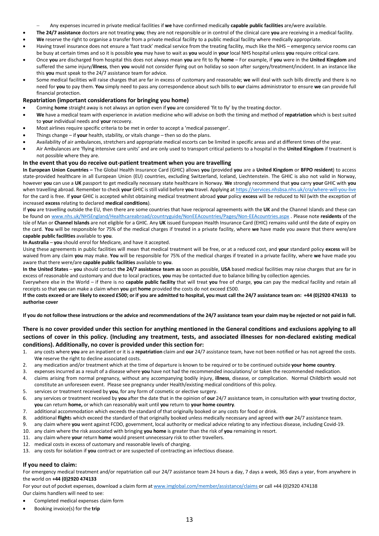− Any expenses incurred in private medical facilities if **we** have confirmed medically **capable public facilities** are/were available.

- **The 24/7 assistance** doctors are not treating **you**; they are not responsible or in control of the clinical care **you** are receiving in a medical facility.
- We reserve the right to organise a transfer from a private medical facility to a public medical facility where medically appropriate.
- Having travel insurance does not ensure a 'fast track' medical service from the treating facility, much like the NHS emergency service rooms can be busy at certain times and so it is possible **you** may have to wait as **you** would in **your** local NHS hospital unless **you** require critical care.
- Once **you** are discharged from hospital this does not always mean **you** are fit to fly **home** For example, if **you** were in the **United Kingdom** and suffered the same injury/**illness**, then **you** would not consider flying out on holiday so soon after surgery/treatment/incident. In an instance like this **you** must speak to the 24/7 assistance team for advice.
- Some medical facilities will raise charges that are far in excess of customary and reasonable; **we** will deal with such bills directly and there is no need for **you** to pay them. **You** simply need to pass any correspondence about such bills to **our** claims administrator to ensure **we** can provide full financial protection.

## **Repatriation (important considerations for bringing you home)**

- Coming **home** straight away is not always an option even if **you** are considered 'fit to fly' by the treating doctor.
- **We** have a medical team with experience in aviation medicine who will advise on both the timing and method of **repatriation** which is best suited to **your** individual needs and **your** recovery.
- Most airlines require specific criteria to be met in order to accept a 'medical passenger'.
- Things change if **your** health, stability, or vitals change then so do the plans.
- Availability of air ambulances, stretchers and appropriate medical escorts can be limited in specific areas and at different times of the year.
- Air Ambulances are 'flying intensive care units' and are only used to transport critical patients to a hospital in the **United Kingdom** if treatment is not possible where they are.

### **In the event that you do receive out-patient treatment when you are travelling**

**In European Union Countries –** The Global Health Insurance Card (GHIC) allows **you** (provided **you** are a **United Kingdom** or **BFPO resident**) to access state-provided healthcare in all European Union (EU) countries, excluding Switzerland, Iceland, Liechtenstein. The GHIC is also not valid in Norway, however **you** can use a **UK** passport to get medically necessary state healthcare in Norway. **We** strongly recommend that **you** carry **your** GHIC with **you** when travelling abroad. Remember to check **your** GHIC is still valid before **you** travel. Applying a[t https://services.nhsbsa.nhs.uk/cra/where-will-you-live](https://services.nhsbsa.nhs.uk/cra/where-will-you-live) for the card is free. If **your** GHIC is accepted whilst obtaining medical treatment abroad **your** policy **excess** will be reduced to Nil (with the exception of increased **excess** relating to declared **medical conditions**).

If **you** are travelling outside the EU, then there are some countries that have reciprocal agreements with the **UK** and the Channel Islands and these can be found on [www.nhs.uk/NHSEngland/Healthcareabroad/countryguide/NonEEAcountries/Pages/Non-EEAcountries.aspx](http://www.nhs.uk/NHSEngland/Healthcareabroad/countryguide/NonEEAcountries/Pages/Non-EEAcountries.aspx) . Please note **residents** of the Isle of Man or **Channel Islands** are not eligible for a GHIC. Any **UK** issued European Health Insurance Card (EHIC) remains valid until the date of expiry on the card. **You** will be responsible for 75% of the medical charges if treated in a private facility, where **we** have made you aware that there were/are **capable public facilities** available to **you**.

**In Australia** – **you** should enrol for Medicare, and have it accepted.

Using these agreements in public facilities will mean that medical treatment will be free, or at a reduced cost, and **your** standard policy **excess** will be waived from any claim **you** may make. **You** will be responsible for 75% of the medical charges if treated in a private facility, where **we** have made you aware that there were/are **capable public facilities** available to **you**.

**In the United States** – **you** should contact **the 24/7 assistance team as** soon as possible, **USA** based medical facilities may raise charges that are far in excess of reasonable and customary and due to local practices, **you** may be contacted due to balance billing by collection agencies.

Everywhere else in the World – if there is no **capable public facility** that will treat **you** free of charge, **you** can pay the medical facility and retain all receipts so that **you** can make a claim when **you** get **home** provided the costs do not exceed £500.

**If the costs exceed or are likely to exceed £500; or if you are admitted to hospital, you must call the 24/7 assistance team on: +44 (0)2920 474133 to authorise cover**

**If you do not follow these instructions or the advice and recommendations of the 24/7 assistance team your claim may be rejected or not paid in full.**

# **There is no cover provided under this section for anything mentioned in the General conditions and exclusions applying to all sections of cover in this policy. (Including any treatment, tests, and associated illnesses for non-declared existing medical conditions). Additionally, no cover is provided under this section for:**

- 1. any costs where **you** are an inpatient or it is a **repatriation** claim and **our** 24/7 assistance team, have not been notified or has not agreed the costs. W**e** reserve the right to decline associated costs.
- 2. any medication and/or treatment which at the time of departure is known to be required or to be continued outside **your home country**.
- 3. expenses incurred as a result of a disease where **you** have not had the recommended inoculations/ or taken the recommended medication.
- 4. claims arising from normal pregnancy, without any accompanying bodily injury, **illness**, disease, or complication. Normal Childbirth would not constitute an unforeseen event. Please see pregnancy under Health/existing medical conditions of this policy.
- 5. services or treatment received by **you**, for any form of cosmetic or elective surgery.
- 6. any services or treatment received by **you** after the date that in the opinion of **our** 24/7 assistance team, in consultation with **your** treating doctor, **you** can return **home,** or which can reasonably wait until **you** return to **your home country**.
- 7. additional accommodation which exceeds the standard of that originally booked or any costs for food or drink.
- 8. additional **flight**s which exceed the standard of that originally booked unless medically necessary and agreed with **our** 24/7 assistance team.
- 9. any claim where **you** went against FCDO, government, local authority or medical advice relating to any infectious disease, including Covid-19.
- 10. any claim where the risk associated with bringing **you home** is greater than the risk of **you** remaining in resort.
- 11. any claim where **your** return **home** would present unnecessary risk to other travellers.
- 12. medical costs in excess of customary and reasonable levels of charging.
- 13. any costs for isolation if **you** contract or are suspected of contracting an infectious disease, including Covid-19.

# **If you need to claim:**

For emergency medical treatment and/or repatriation call our 24/7 assistance team 24 hours a day, 7 days a week, 365 days a year, from anywhere in the world on **+44 (0)2920 474133**

For your out of pocket expenses, download a claim form a[t www.imglobal.com/member/assistance/claims](http://www.imglobal.com/member/assistance/claims) or call +44 (0)2920 474138 Our claims handlers will need to see:

- Completed medical expenses claim form
- Booking invoice(s) for the **trip**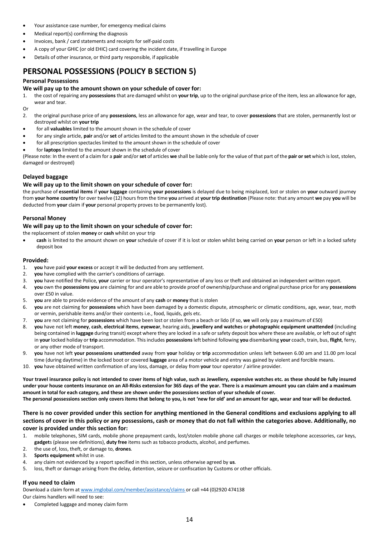- Your assistance case number, for emergency medical claims
- Medical report(s) confirming the diagnosis
- Invoices, bank / card statements and receipts for self-paid costs
- A copy of your GHIC (or old EHIC) card covering the incident date, if travelling in Europe
- Details of other insurance, or third party responsible, if applicable

# **PERSONAL POSSESSIONS (POLICY B SECTION 5)**

# **Personal Possessions**

### **We will pay up to the amount shown on your schedule of cover for:**

1. the cost of repairing any **possessions** that are damaged whilst on **your trip**, up to the original purchase price of the item, less an allowance for age, wear and tear.

Or

- 2. the original purchase price of any **possessions**, less an allowance for age, wear and tear, to cover **possessions** that are stolen, permanently lost or destroyed whilst on **your trip**
- for all **valuables** limited to the amount shown in the schedule of cover
- for any single article, **pair** and/or **set** of articles limited to the amount shown in the schedule of cover
- for all prescription spectacles limited to the amount shown in the schedule of cover
- for **laptops** limited to the amount shown in the schedule of cover

(Please note: In the event of a claim for a **pair** and/or **set** of articles **we** shall be liable only for the value of that part of the **pair or set** which is lost, stolen, damaged or destroyed)

# **Delayed baggage**

### **We will pay up to the limit shown on your schedule of cover for:**

the purchase of **essential items** if **your luggage** containing **your possessions** is delayed due to being misplaced, lost or stolen on **your** outward journey from **your home country** for over twelve (12) hours from the time **you** arrived at **your trip destination** (Please note: that any amount **we** pay **you** will be deducted from **your** claim if **your** personal property proves to be permanently lost).

### **Personal Money**

### **We will pay up to the limit shown on your schedule of cover for:**

the replacement of stolen **money** or **cash** whilst on your trip

• **cash** is limited to the amount shown on **your** schedule of cover if it is lost or stolen whilst being carried on **your** person or left in a locked safety deposit box

### **Provided:**

- 1. **you** have paid **your excess** or accept it will be deducted from any settlement.
- 2. **you** have complied with the carrier's conditions of carriage.
- 3. **you** have notified the Police, **your** carrier or tour operator's representative of any loss or theft and obtained an independent written report.
- 4. **you** own the **possessions you** are claiming for and are able to provide proof of ownership/purchase and original purchase price for any **possessions** over £50 in value.
- 5. **you** are able to provide evidence of the amount of any **cash** or **money** that is stolen
- 6. **you** are not claiming for **possessions** which have been damaged by a domestic dispute, atmospheric or climatic conditions, age, wear, tear, moth or vermin, perishable items and/or their contents i.e., food, liquids, gels etc.
- 7. **you** are not claiming for **possessions** which have been lost or stolen from a beach or lido (if so, **we** will only pay a maximum of £50)
- 8. **you** have not left **money**, **cash**, **electrical items**, **eyewear**, hearing aids, **jewellery and watches** or **photographic equipment unattended** (including being contained in **luggage** during transit) except where they are locked in a safe or safety deposit box where these are available, or left out of sight in **your** locked holiday or **trip** accommodation. This includes **possessions** left behind following **you** disembarking **your** coach, train, bus, **flight**, ferry, or any other mode of transport.
- 9. **you** have not left **your possessions unattended** away from **your** holiday or **trip** accommodation unless left between 6.00 am and 11.00 pm local time (during daytime) in the locked boot or covered **luggage** area of a motor vehicle and entry was gained by violent and forcible means.
- 10. **you** have obtained written confirmation of any loss, damage, or delay from **your** tour operator / airline provider.

**Your travel insurance policy is not intended to cover items of high value, such as Jewellery, expensive watches etc. as these should be fully insured under your house contents insurance on an All-Risks extension for 365 days of the year. There is a maximum amount you can claim and a maximum amount in total for each category, and these are shown under the possessions section of your schedule of cover.** 

**The personal possessions section only covers items that belong to you, is not 'new for old' and an amount for age, wear and tear will be deducted.**

# **There is no cover provided under this section for anything mentioned in the General conditions and exclusions applying to all sections of cover in this policy or any possessions, cash or money that do not fall within the categories above. Additionally, no cover is provided under this section for:**

- 1. mobile telephones, SIM cards, mobile phone prepayment cards, lost/stolen mobile phone call charges or mobile telephone accessories, car keys, **gadget**s (please see definitions), **duty free** items such as tobacco products, alcohol, and perfumes.
- 2. the use of, loss, theft, or damage to, **drones**.
- 3. **Sports equipment** whilst in use.
- 4. any claim not evidenced by a report specified in this section, unless otherwise agreed by **us**.
- 5. loss, theft or damage arising from the delay, detention, seizure or confiscation by Customs or other officials.

# **If you need to claim**

Download a claim form a[t www.imglobal.com/member/assistance/claims](http://www.imglobal.com/member/assistance/claims) or call +44 (0)2920 474138

Our claims handlers will need to see:

• Completed luggage and money claim form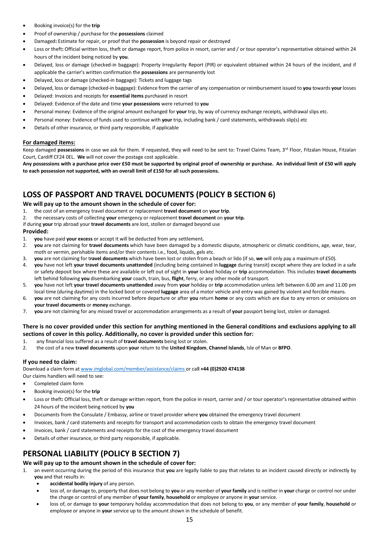- Booking invoice(s) for the **trip**
- Proof of ownership / purchase for the **possessions** claimed
- Damaged**:** Estimate for repair, or proof that the **possession** is beyond repair or destroyed
- Loss or theft: Official written loss, theft or damage report, from police in resort, carrier and / or tour operator's representative obtained within 24 hours of the incident being noticed by **you**.
- Delayed, loss or damage (checked-in baggage): Property Irregularity Report (PIR) or equivalent obtained within 24 hours of the incident, and if applicable the carrier's written confirmation the **possessions** are permanently lost
- Delayed, loss or damage (checked-in baggage): Tickets and luggage tags
- Delayed, loss or damage (checked-in baggage): Evidence from the carrier of any compensation or reimbursement issued to **you** towards **your** losses
- Delayed: Invoices and receipts for **essential items** purchased in resort
- Delayed: Evidence of the date and time **your possessions** were returned to **you**
- Personal money: Evidence of the original amount exchanged for **your** trip, by way of currency exchange receipts, withdrawal slips etc.
- Personal money: Evidence of funds used to continue with **your** trip, including bank / card statements, withdrawals slip(s) etc
- Details of other insurance, or third party responsible, if applicable

### **For damaged items:**

Keep damaged possessions in case we ask for them. If requested, they will need to be sent to: Travel Claims Team, 3rd Floor, Fitzalan House, Fitzalan Court, Cardiff CF24 0EL. **We** will not cover the postage cost applicable.

**Any possessions with a purchase price over £50 must be supported by original proof of ownership or purchase. An individual limit of £50 will apply to each possession not supported, with an overall limit of £150 for all such possessions.**

# **LOSS OF PASSPORT AND TRAVEL DOCUMENTS (POLICY B SECTION 6)**

### **We will pay up to the amount shown in the schedule of cover for:**

- 1. the cost of an emergency travel document or replacement **travel document** on **your trip**.
- 2. the necessary costs of collecting **your** emergency or replacement **travel document** on **your trip.**
- if during **your** trip abroad your **travel documents** are lost, stollen or damaged beyond use

### **Provided:**

- 1. **you** have paid **your excess** or accept it will be deducted from any settlement**.**
- 2. **you** are not claiming for **travel documents** which have been damaged by a domestic dispute, atmospheric or climatic conditions, age, wear, tear, moth or vermin, perishable items and/or their contents i.e., food, liquids, gels etc.
- 3. **you** are not claiming for t**ravel documents** which have been lost or stolen from a beach or lido (if so, **we** will only pay a maximum of £50).
- 4. **you** have not left **your travel documents unattended** (including being contained in **luggage** during transit) except where they are locked in a safe or safety deposit box where these are available or left out of sight in **your** locked holiday or **trip** accommodation. This includes **travel documents** left behind following **you** disembarking **your** coach, train, bus, **flight**, ferry, or any other mode of transport.
- 5. **you** have not left **your travel documents unattended** away from **your** holiday or **trip** accommodation unless left between 6.00 am and 11.00 pm local time (during daytime) in the locked boot or covered **luggage** area of a motor vehicle and entry was gained by violent and forcible means.
- 6. **you** are not claiming for any costs incurred before departure or after **you** return **home** or any costs which are due to any errors or omissions on **your travel documents** or **money** exchange.
- 7. **you** are not claiming for any missed travel or accommodation arrangements as a result of **your** passport being lost, stolen or damaged.

### **There is no cover provided under this section for anything mentioned in the General conditions and exclusions applying to all sections of cover in this policy. Additionally, no cover is provided under this section for:**

- 1. any financial loss suffered as a result of **travel documents** being lost or stolen.
- 2. the cost of a new **travel documents** upon **your** return to the **United Kingdom**, **Channel Islands**, Isle of Man or **BFPO**.

### **If you need to claim:**

Download a claim form a[t www.imglobal.com/member/assistance/claims](http://www.imglobal.com/member/assistance/claims) or cal**l +44 (0)2920 474138**

- Our claims handlers will need to see:
- Completed claim form
- Booking invoice(s) for the **trip**
- Loss or theft: Official loss, theft or damage written report, from the police in resort, carrier and / or tour operator's representative obtained within 24 hours of the incident being noticed by **you**
- Documents from the Consulate / Embassy, airline or travel provider where **you** obtained the emergency travel document
- Invoices, bank / card statements and receipts for transport and accommodation costs to obtain the emergency travel document
- Invoices, bank / card statements and receipts for the cost of the emergency travel document
- Details of other insurance, or third party responsible, if applicable.

# **PERSONAL LIABILITY (POLICY B SECTION 7)**

# **We will pay up to the amount shown in the schedule of cover for:**

- 1. an event occurring during the period of this insurance that **you** are legally liable to pay that relates to an incident caused directly or indirectly by **you** and that results in:
	- **accidental bodily injury** of any person.
	- loss of, or damage to, property that does not belong to **you** or any member of **your family** and is neither in **your** charge or control nor under the charge or control of any member of **your family**, **household** or employee or anyone in **your** service.
	- loss of, or damage to **your** temporary holiday accommodation that does not belong to **you**, or any member of **your family**, **household** or employee or anyone in **your** service up to the amount shown in the schedule of benefit.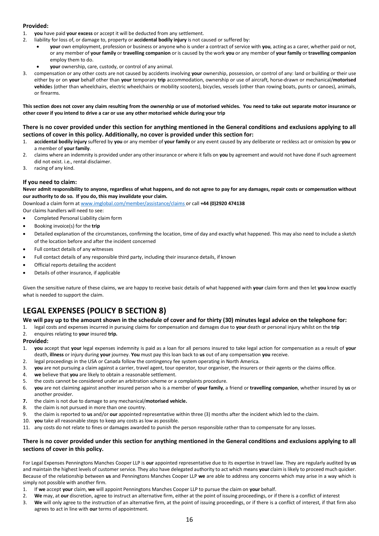# **Provided:**

- 1. **you** have paid **your excess** or accept it will be deducted from any settlement.
- 2. liability for loss of, or damage to, property or **accidental bodily injury** is not caused or suffered by:
	- **your** own employment, profession or business or anyone who is under a contract of service with **you**, acting as a carer, whether paid or not, or any member of **your family** or **travelling companion** or is caused by the work **you** or any member of **your family** or **travelling companion** employ them to do.
	- **your** ownership, care, custody, or control of any animal.
- 3. compensation or any other costs are not caused by accidents involving **your** ownership, possession, or control of any: land or building or their use either by or on **your** behalf other than **your** temporary **trip** accommodation, ownership or use of aircraft, horse-drawn or mechanical/**motorised vehicle**s (other than wheelchairs, electric wheelchairs or mobility scooters), bicycles, vessels (other than rowing boats, punts or canoes), animals, or firearms.

**This section does not cover any claim resulting from the ownership or use of motorised vehicles. You need to take out separate motor insurance or other cover if you intend to drive a car or use any other motorised vehicle during your trip**

### **There is no cover provided under this section for anything mentioned in the General conditions and exclusions applying to all sections of cover in this policy. Additionally, no cover is provided under this section for:**

- 1. **accidental bodily injury** suffered by **you** or any member of **your family** or any event caused by any deliberate or reckless act or omission by **you** or a member of **your family**.
- 2. claims where an indemnity is provided under any other insurance or where it falls on **you** by agreement and would not have done if such agreement did not exist. i.e., rental disclaimer.
- 3. racing of any kind.

# **If you need to claim:**

**Never admit responsibility to anyone, regardless of what happens, and do not agree to pay for any damages, repair costs or compensation without our authority to do so. If you do, this may invalidate your claim.**

Download a claim form a[t www.imglobal.com/member/assistance/claims](http://www.imglobal.com/member/assistance/claims) or call **+44 (0)2920 474138** Our claims handlers will need to see:

- Completed Personal Liability claim form
- Booking invoice(s) for the **trip**
- Detailed explanation of the circumstances, confirming the location, time of day and exactly what happened. This may also need to include a sketch of the location before and after the incident concerned
- Full contact details of any witnesses
- Full contact details of any responsible third party, including their insurance details, if known
- Official reports detailing the accident
- Details of other insurance, if applicable

Given the sensitive nature of these claims, we are happy to receive basic details of what happened with **your** claim form and then let **you** know exactly what is needed to support the claim.

# **LEGAL EXPENSES (POLICY B SECTION 8)**

**We will pay up to the amount shown in the schedule of cover and for thirty (30) minutes legal advice on the telephone for:**

1. legal costs and expenses incurred in pursuing claims for compensation and damages due to **your** death or personal injury whilst on the **trip** 2. enquires relating to **your** insured **trip.**

# **Provided:**

- 1. **you** accept that **your** legal expenses indemnity is paid as a loan for all persons insured to take legal action for compensation as a result of **your**  death, **illness** or injury during **your** journey. **You** must pay this loan back to **us** out of any compensation **you** receive.
- 2. legal proceedings in the USA or Canada follow the contingency fee system operating in North America.
- 3. **you** are not pursuing a claim against a carrier, travel agent, tour operator, tour organiser, the insurers or their agents or the claims office.
- 4. **we** believe that **you** are likely to obtain a reasonable settlement.
- 5. the costs cannot be considered under an arbitration scheme or a complaints procedure.
- 6. **you** are not claiming against another insured person who is a member of **your family**, a friend or **travelling companion**, whether insured by **us** or another provider.
- **7.** the claim is not due to damage to any mechanical/**motorised vehicle.**
- 8. the claim is not pursued in more than one country.
- 9. the claim is reported to **us** and/or **our** appointed representative within three (3) months after the incident which led to the claim.
- 10. **you** take all reasonable steps to keep any costs as low as possible.
- 11. any costs do not relate to fines or damages awarded to punish the person responsible rather than to compensate for any losses.

### **There is no cover provided under this section for anything mentioned in the General conditions and exclusions applying to all sections of cover in this policy.**

For Legal Expenses Penningtons Manches Cooper LLP is **our** appointed representative due to its expertise in travel law. They are regularly audited by **us**  and maintain the highest levels of customer service. They also have delegated authority to act which means **your** claim is likely to proceed much quicker. Because of the relationship between **us** and Penningtons Manches Cooper LLP **we** are able to address any concerns which may arise in a way which is simply not possible with another firm.

- 1. If **we** accept **your** claim, **we** will appoint Penningtons Manches Cooper LLP to pursue the claim on **your** behalf.
- 2. **We** may, at **our** discretion, agree to instruct an alternative firm, either at the point of issuing proceedings, or if there is a conflict of interest
- 3. **We** will only agree to the instruction of an alternative firm, at the point of issuing proceedings, or if there is a conflict of interest, if that firm also agrees to act in line with **our** terms of appointment.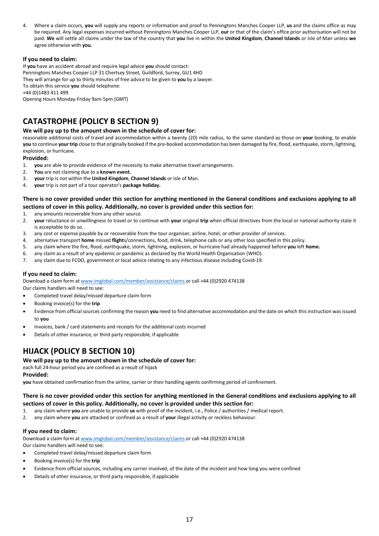4. Where a claim occurs, **you** will supply any reports or information and proof to Penningtons Manches Cooper LLP, **us** and the claims office as may be required. Any legal expenses incurred without Penningtons Manches Cooper LLP, **our** or that of the claim's office prior authorisation will not be paid. **We** will settle all claims under the law of the country that **you** live in within the **United Kingdom**, **Channel Islands** or Isle of Man unless **we** agree otherwise with **you.**

# **If you need to claim:**

If **you** have an accident abroad and require legal advice **you** should contact: Penningtons Manches Cooper LLP 31 Chertsey Street, Guildford, Surrey, GU1 4HD They will arrange for up to thirty minutes of free advice to be given to **you** by a lawyer. To obtain this service **you** should telephone: +44 (0)1483 411 499 Opening Hours Monday-Friday 9am-5pm (GMT)

# **CATASTROPHE (POLICY B SECTION 9)**

# **We will pay up to the amount shown in the schedule of cover for:**

reasonable additional costs of travel and accommodation within a twenty (20) mile radius, to the same standard as those on **your** booking, to enable **you** to continue **your trip** close to that originally booked if the pre-booked accommodation has been damaged by fire, flood, earthquake, storm, lightning, explosion, or hurricane.

### **Provided:**

- 1. **you** are able to provide evidence of the necessity to make alternative travel arrangements.
- 2. **You** are not claiming due to a **known event.**
- 3. **your** trip is not within the **United Kingdom**, **Channel Islands** or Isle of Man.
- 4. **your** trip is not part of a tour operator's **package holiday.**

# **There is no cover provided under this section for anything mentioned in the General conditions and exclusions applying to all sections of cover in this policy. Additionally, no cover is provided under this section for:**

- 1. any amounts recoverable from any other source.
- 2. **your** reluctance or unwillingness to travel or to continue with **your** original **trip** when official directives from the local or national authority state it is acceptable to do so.
- 3. any cost or expense payable by or recoverable from the tour organiser, airline, hotel, or other provider of services.
- 4. alternative transport **home** missed **flight**s/connections, food, drink, telephone calls or any other loss specified in this policy.
- 5. any claim where the fire, flood, earthquake, storm, lightning, explosion, or hurricane had already happened before **you** left **home.**
- 6. any claim as a result of any epidemic or pandemic as declared by the World Health Organisation (WHO).
- 7. any claim due to FCDO, government or local advice relating to any infectious disease including Covid-19.

# **If you need to claim:**

Download a claim form a[t www.imglobal.com/member/assistance/claims](http://www.imglobal.com/member/assistance/claims) or call +44 (0)2920 474138

Our claims handlers will need to see:

- Completed travel delay/missed departure claim form
- Booking invoice(s) for the **trip**
- Evidence from official sources confirming the reason **you** need to find alternative accommodation and the date on which this instruction was issued to **you**
- Invoices, bank / card statements and receipts for the additional costs incurred
- Details of other insurance, or third party responsible, if applicable

# **HIJACK (POLICY B SECTION 10)**

# **We will pay up to the amount shown in the schedule of cover for:**

each full 24-hour period you are confined as a result of hijack

**Provided:**

**you** have obtained confirmation from the airline, carrier or their handling agents confirming period of confinement.

### **There is no cover provided under this section for anything mentioned in the General conditions and exclusions applying to all sections of cover in this policy. Additionally, no cover is provided under this section for:**

- 1. any claim where **you** are unable to provide **us** with proof of the incident, i.e., Police / authorities / medical report.
- 2. any claim where **you** are attacked or confined as a result of **your** illegal activity or reckless behaviour.

# **If you need to claim:**

Download a claim form a[t www.imglobal.com/member/assistance/claims](http://www.imglobal.com/member/assistance/claims) or call +44 (0)2920 474138 Our claims handlers will need to see:

- Completed travel delay/missed departure claim form
- Booking invoice(s) for the **trip**
- Evidence from official sources, including any carrier involved, of the date of the incident and how long you were confined
- Details of other insurance, or third party responsible, if applicable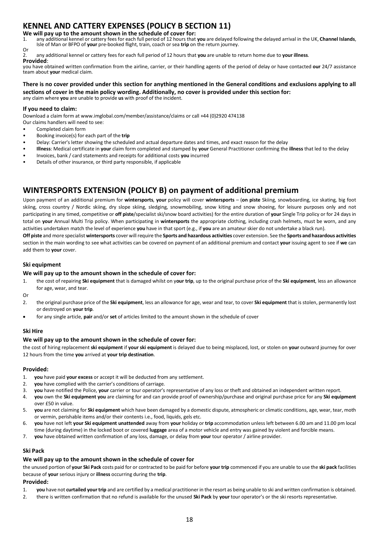# **KENNEL AND CATTERY EXPENSES (POLICY B SECTION 11)**

**We will pay up to the amount shown in the schedule of cover for:**<br>1. any additional kennel or cattery fees for each full period of 12 hours that

1. any additional kennel or cattery fees for each full period of 12 hours that you are delayed following the delayed arrival in the UK, Channel Islands,<br>Isle of Man or BFPO of your pre-booked flight, train, coach or sea tr

2. any additional kennel or cattery fees for each full period of 12 hours that **you** are unable to return home due to **your illness**.

**Provided**: you have obtained written confirmation from the airline, carrier, or their handling agents of the period of delay or have contacted **our** 24/7 assistance team about **your** medical claim.

#### **There is no cover provided under this section for anything mentioned in the General conditions and exclusions applying to all sections of cover in the main policy wording. Additionally, no cover is provided under this section for:** any claim where **you** are unable to provide **us** with proof of the incident.

## **If you need to claim:**

Download a claim form at www.imglobal.com/member/assistance/claims or call +44 (0)2920 474138

- Our claims handlers will need to see:
- Completed claim form
- Booking invoice(s) for each part of the **trip**
- Delay: Carrier's letter showing the scheduled and actual departure dates and times, and exact reason for the delay
- **Illness**: Medical certificate in **your** claim form completed and stamped by **your** General Practitioner confirming the **illness** that led to the delay
- Invoices, bank / card statements and receipts for additional costs **you** incurred
- Details of other insurance, or third party responsible, if applicable

# **WINTERSPORTS EXTENSION (POLICY B) on payment of additional premium**

Upon payment of an additional premium for **wintersports**, **your** policy will cover **wintersports** – (**on piste** Skiing, snowboarding, ice skating, big foot skiing, cross country / Nordic skiing, dry slope skiing, sledging, snowmobiling, snow kiting and snow shoeing, for leisure purposes only and not participating in any timed, competitive or **off piste**/specialist ski/snow board activities) for the entire duration of **your** Single Trip policy or for 24 days in total on **your** Annual Multi Trip policy. When participating in **wintersports** the appropriate clothing, including crash helmets, must be worn, and any activities undertaken match the level of experience **you** have in that sport (e.g., if **you** are an amateur skier do not undertake a black run).

**Off piste** and more specialist **wintersports** cover will require the **Sports and hazardous activities** cover extension. See the **Sports and hazardous activities** section in the main wording to see what activities can be covered on payment of an additional premium and contact **your** issuing agent to see if **we** can add them to **your** cover.

### **Ski equipment**

# **We will pay up to the amount shown in the schedule of cover for:**

1. the cost of repairing **Ski equipment** that is damaged whilst on y**our trip**, up to the original purchase price of the **Ski equipment**, less an allowance for age, wear, and tear.

Or

- 2. the original purchase price of the **Ski equipment**, less an allowance for age, wear and tear, to cover **Ski equipment** that is stolen, permanently lost or destroyed on **your trip**.
- for any single article, **pair** and/or **set** of articles limited to the amount shown in the schedule of cover

# **Ski Hire**

# **We will pay up to the amount shown in the schedule of cover for:**

the cost of hiring replacement **ski equipment** if **your ski equipment** is delayed due to being misplaced, lost, or stolen on **your** outward journey for over 12 hours from the time **you** arrived at **your trip destination**.

### **Provided:**

- 1. **you** have paid **your excess** or accept it will be deducted from any settlement.
- 2. **you** have complied with the carrier's conditions of carriage.
- 3. **you** have notified the Police, **your** carrier or tour operator's representative of any loss or theft and obtained an independent written report.
- 4. **you** own the **Ski equipment you** are claiming for and can provide proof of ownership/purchase and original purchase price for any **Ski equipment** over £50 in value.
- 5. **you** are not claiming for **Ski equipment** which have been damaged by a domestic dispute, atmospheric or climatic conditions, age, wear, tear, moth or vermin, perishable items and/or their contents i.e., food, liquids, gels etc.
- 6. **you** have not left **your Ski equipment unattended** away from **your** holiday or **trip** accommodation unless left between 6.00 am and 11.00 pm local time (during daytime) in the locked boot or covered **luggage** area of a motor vehicle and entry was gained by violent and forcible means.
- 7. **you** have obtained written confirmation of any loss, damage, or delay from **your** tour operator / airline provider.

# **Ski Pack**

# **We will pay up to the amount shown in the schedule of cover for**

the unused portion of **your Ski Pack** costs paid for or contracted to be paid for before **your trip** commenced if you are unable to use the **ski pack** facilities because of **your** serious injury or **illness** occurring during the **trip**.

### **Provided:**

- 1. **you** have not **curtailed your trip** and are certified by a medical practitioner in the resort as being unable to ski and written confirmation is obtained.
- 2. there is written confirmation that no refund is available for the unused **Ski Pack** by **your** tour operator's or the ski resorts representative.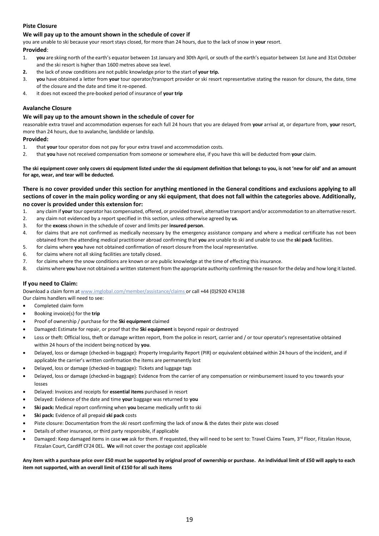# **Piste Closure**

### **We will pay up to the amount shown in the schedule of cover if**

you are unable to ski because your resort stays closed, for more than 24 hours, due to the lack of snow in **your** resort.

### **Provided**:

- 1. **you** are skiing north of the earth's equator between 1st January and 30th April, or south of the earth's equator between 1st June and 31st October and the ski resort is higher than 1600 metres above sea level.
- **2.** the lack of snow conditions are not public knowledge prior to the start of **your trip.**
- 3. **you** have obtained a letter from **your** tour operator/transport provider or ski resort representative stating the reason for closure, the date, time of the closure and the date and time it re-opened.
- 4. it does not exceed the pre-booked period of insurance of **your trip**

### **Avalanche Closure**

### **We will pay up to the amount shown in the schedule of cover for**

reasonable extra travel and accommodation expenses for each full 24 hours that you are delayed from **your** arrival at, or departure from, **your** resort, more than 24 hours, due to avalanche, landslide or landslip.

### **Provided:**

- 1. that **your** tour operator does not pay for your extra travel and accommodation costs.
- 2. that **you** have not received compensation from someone or somewhere else, if you have this will be deducted from **your** claim.

**The ski equipment cover only covers ski equipment listed under the ski equipment definition that belongs to you, is not 'new for old' and an amount for age, wear, and tear will be deducted.**

**There is no cover provided under this section for anything mentioned in the General conditions and exclusions applying to all sections of cover in the main policy wording or any ski equipment**, **that does not fall within the categories above. Additionally, no cover is provided under this extension for:**

- 1. any claim if **your** tour operator has compensated, offered, or provided travel, alternative transport and/or accommodation to an alternative resort.
- 2. any claim not evidenced by a report specified in this section, unless otherwise agreed by **us**.
- 3. for the **excess** shown in the schedule of cover and limits per **insured person**.
- 4. for claims that are not confirmed as medically necessary by the emergency assistance company and where a medical certificate has not been obtained from the attending medical practitioner abroad confirming that **you** are unable to ski and unable to use the **ski pack** facilities.
- 5. for claims where **you** have not obtained confirmation of resort closure from the local representative.
- 6. for claims where not all skiing facilities are totally closed.
- 7. for claims where the snow conditions are known or are public knowledge at the time of effecting this insurance.
- 8. claims where **you** have not obtained a written statement from the appropriate authority confirming the reason for the delay and how long it lasted.

### **If you need to Claim:**

Download a claim form a[t www.imglobal.com/member/assistance/claims](https://nam10.safelinks.protection.outlook.com/?url=https%3A%2F%2Fwww.imglobal.com%2Fmember%2Fassistance%2Fclaims&data=04%7C01%7CWendy.King%40imglobal.com%7Cf7ff4e91a01c4ae0099008d955d04dfd%7C865a2c117f4c4acdb8d8d44cac7ba4a7%7C0%7C0%7C637635175433151889%7CUnknown%7CTWFpbGZsb3d8eyJWIjoiMC4wLjAwMDAiLCJQIjoiV2luMzIiLCJBTiI6Ik1haWwiLCJXVCI6Mn0%3D%7C1000&sdata=3CvLmYNM6gg2vmJ5eYYvHtolMcwy9VOIYyTdH6r3TwU%3D&reserved=0) or call +44 (0)2920 474138

Our claims handlers will need to see:

- Completed claim form
- Booking invoice(s) for the **trip**
- Proof of ownership / purchase for the **Ski equipment** claimed
- Damaged**:** Estimate for repair, or proof that the **Ski equipment** is beyond repair or destroyed
- Loss or theft: Official loss, theft or damage written report, from the police in resort, carrier and / or tour operator's representative obtained within 24 hours of the incident being noticed by **you**.
- Delayed, loss or damage (checked-in baggage): Property Irregularity Report (PIR) or equivalent obtained within 24 hours of the incident, and if applicable the carrier's written confirmation the items are permanently lost
- Delayed, loss or damage (checked-in baggage): Tickets and luggage tags
- Delayed, loss or damage (checked-in baggage): Evidence from the carrier of any compensation or reimbursement issued to you towards your losses
- Delayed: Invoices and receipts for **essential items** purchased in resort
- Delayed: Evidence of the date and time **your** baggage was returned to **you**
- **Ski pack:** Medical report confirming when **you** became medically unfit to ski
- **Ski pack:** Evidence of all prepaid **ski pack** costs
- Piste closure: Documentation from the ski resort confirming the lack of snow & the dates their piste was closed
- Details of other insurance, or third party responsible, if applicable
- Damaged: Keep damaged items in case **we** ask for them. If requested, they will need to be sent to: Travel Claims Team, 3rd Floor, Fitzalan House, Fitzalan Court, Cardiff CF24 0EL. **We** will not cover the postage cost applicable

### **Any item with a purchase price over £50 must be supported by original proof of ownership or purchase. An individual limit of £50 will apply to each item not supported, with an overall limit of £150 for all such items**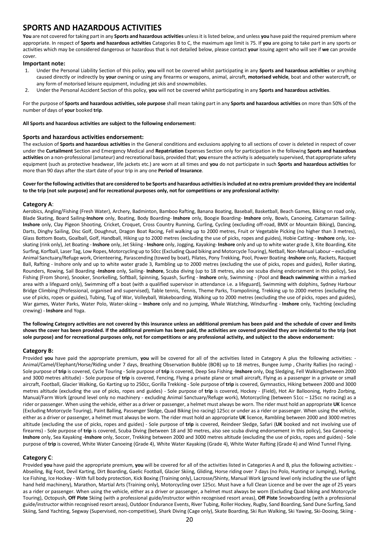# **SPORTS AND HAZARDOUS ACTIVITIES**

**You** are not covered for taking part in any **Sports and hazardous activities** unless it is listed below, and unless **you** have paid the required premium where appropriate. In respect of **Sports and hazardous activities** Categories B to C, the maximum age limit is 75. If **you** are going to take part in any sports or activities which may be considered dangerous or hazardous that is not detailed below, please contact **your** issuing agent who will see if **we** can provide cover.

### **Important note:**

- 1. Under the Personal Liability Section of this policy, **you** will not be covered whilst participating in any **Sports and hazardous activities** or anything caused directly or indirectly by **your** owning or using any firearms or weapons, animal, aircraft, **motorised vehicle**, boat and other watercraft, or any form of motorised leisure equipment, including jet skis and snowmobiles.
- 2. Under the Personal Accident Section of this policy, **you** will not be covered whilst participating in any **Sports and hazardous activities**.

For the purpose of **Sports and hazardous activities, sole purpose** shall mean taking part in any **Sports and hazardous activities** on more than 50% of the number of days of **your** booked **trip**.

#### **All Sports and hazardous activities are subject to the following endorsement:**

### **Sports and hazardous activities endorsement:**

The exclusion of **Sports and hazardous activities** in the General conditions and exclusions applying to all sections of cover is deleted in respect of cover under the **Curtailment** Section and Emergency Medical and **Repatriation** Expenses Section only for participation in the following **Sports and hazardous activities** on a non-professional (amateur) and recreational basis, provided that; **you** ensure the activity is adequately supervised, that appropriate safety equipment (such as protective headwear, life jackets etc.) are worn at all times and **you** do not participate in such **Sports and hazardous activities** for more than 90 days after the start date of your trip in any one **Period of Insurance**.

#### **Cover for the following activities that are considered to be Sports and hazardous activities is included at no extra premium provided they are incidental to the trip (not sole purpose) and for recreational purposes only, not for competitions or any professional activity:**

### **Category A**:

Aerobics, Angling/Fishing (Fresh Water), Archery, Badminton, Bamboo Rafting, Banana Boating, Baseball, Basketball, Beach Games, Biking on road only, Blade Skating, Board Sailing-**Inshore** only, Boating, Body Boarding- **Inshore** only, Boogie Boarding- **Inshore** only, Bowls, Canoeing, Catamaran Sailing-**Inshore** only, Clay Pigeon Shooting, Cricket, Croquet, Cross Country Running, Curling, Cycling (excluding off-road, BMX or Mountain Biking), Dancing, Darts, Dinghy Sailing, Disc Golf, Doughnut, Dragon Boat Racing, Fell walking up to 2000 metres, Fruit or Vegetable Picking (no higher than 3 metres), Glass Bottom Boats, Goalball, Golf, Handball, Hiking up to 2000 metres (excluding the use of picks, ropes and guides), Hobie Catting - **Inshore** only, Iceskating (rink only), Jet Boating - **Inshore** only, Jet Skiing - **Inshore** only, Jogging, Kayaking- **Inshore** only and up to white water grade 3, Kite Boarding, Kite Surfing, Korfball, Laser Tag, Low Ropes, Motorcycling up to 50cc (Excluding Quad biking and Motorcycle Touring), Netball, Non-Manual Labour – excluding Animal Sanctuary/Refuge work, Orienteering, Parascending (towed by boat), Pilates, Pony Trekking, Pool, Power Boating -**Inshore** only, Rackets, Racquet Ball, Rafting - Inshore only and up to white water grade 3, Rambling up to 2000 metres (excluding the use of picks, ropes and guides), Roller skating, Rounders, Rowing, Sail Boarding -**Inshore** only, Sailing- **Inshore**, Scuba diving (up to 18 metres, also see scuba diving endorsement in this policy), Sea Fishing (From Shore), Snooker, Snorkelling, Softball, Spinning, Squash, Surfing - **Inshore** only, Swimming - (Pool and **Beach swimming** within a marked area with a lifeguard only), Swimming off a boat (with a qualified supervisor in attendance i.e. a lifeguard), Swimming with dolphins, Sydney Harbour Bridge Climbing (Professional, organised and supervised), Table tennis, Tennis, Theme Parks, Trampolining, Trekking up to 2000 metres (excluding the use of picks, ropes or guides), Tubing, Tug of War, Volleyball, Wakeboarding, Walking up to 2000 metres (excluding the use of picks, ropes and guides), War games, Water Parks, Water Polo, Water-skiing – **Inshore** only and no jumping, Whale Watching, Windsurfing - **Inshore** only, Yachting (excluding crewing) - **Inshore** and Yoga.

**The following Category activities are not covered by this insurance unless an additional premium has been paid and the schedule of cover and limits shows the cover has been provided. If the additional premium has been paid, the activities are covered provided they are incidental to the trip (not sole purpose) and for recreational purposes only, not for competitions or any professional activity, and subject to the above endorsement:**

### **Category B:**

Provided you have paid the appropriate premium, you will be covered for all of the activities listed in Category A plus the following activities: -Animal/Camel/Elephant/Horse/Riding under 7 days, Breathing Observation Bubble (BOB) up to 18 metres, Bungee Jump , Charity Rallies (no racing) - Sole purpose of **trip** is covered, Cycle Touring - Sole purpose of **trip** is covered, Deep Sea Fishing -**Inshore** only, Dog Sledging, Fell Walking(between 2000 and 3000 metres altitude) - Sole purpose of **trip** is covered, Fencing, Flying a private plane or small aircraft, Flying as a passenger in a private or small aircraft, Football, Glacier Walking, Go Karting up to 250cc, Gorilla Trekking - Sole purpose of **trip** is covered, Gymnastics, Hiking between 2000 and 3000 metres altitude (excluding the use of picks, ropes and guides) - Sole purpose of **trip** is covered, Hockey - (Field), Hot Air Ballooning, Hydro Zorbing, Manual/Farm Work (ground level only no machinery - excluding Animal Sanctuary/Refuge work), Motorcycling (between 51cc – 125cc no racing) as a rider or passenger. When using the vehicle, either as a driver or passenger, a helmet must always be worn. The rider must hold an appropriate **UK** licence (Excluding Motorcycle Touring), Paint Balling, Passenger Sledge, Quad Biking (no racing) 125cc or under as a rider or passenger. When using the vehicle, either as a driver or passenger, a helmet must always be worn. The rider must hold an appropriate **UK** licence, Rambling between 2000 and 3000 metres altitude (excluding the use of picks, ropes and guides) - Sole purpose of **trip** is covered, Reindeer Sledge, Safari (**UK** booked and not involving use of firearms) - Sole purpose of **trip** is covered, Scuba Diving (between 18 and 30 metres, also see scuba diving endorsement in this policy), Sea Canoeing - **Inshore** only, Sea Kayaking -**Inshore** only, Soccer, Trekking between 2000 and 3000 metres altitude (excluding the use of picks, ropes and guides) - Sole purpose of trip is covered, White Water Canoeing (Grade 4), White Water Kayaking (Grade 4), White Water Rafting (Grade 4) and Wind Tunnel Flying.

### **Category C**:

Provided you have paid the appropriate premium, you will be covered for all of the activities listed in Categories A and B, plus the following activities: -Abseiling, Big Foot, Devil Karting, Dirt Boarding, Gaelic Football, Glacier Skiing, Gliding, Horse riding over 7 days (no Polo, Hunting or Jumping), Hurling, Ice Fishing, Ice Hockey - With full body protection, Kick Boxing (Training only), Lacrosse/Shinty, Manual Work (ground level only including the use of light hand held machinery), Marathon, Martial Arts (Training only), Motorcycling over 125cc. Must have a full Clean Licence and be over the age of 25 years as a rider or passenger. When using the vehicle, either as a driver or passenger, a helmet must always be worn (Excluding Quad biking and Motorcycle Touring), Octopush, **Off Piste** Skiing (with a professional guide/instructor within recognised resort areas), **Off Piste** Snowboarding (with a professional guide/instructor within recognised resort areas), Outdoor Endurance Events, River Tubing, Roller Hockey, Rugby, Sand Boarding, Sand Dune Surfing, Sand Skiing, Sand Yachting, Segway (Supervised, non-competitive), Shark Diving (Cage only), Skate Boarding, Ski Run Walking, Ski Yawing, Ski-Dooing, Skiing -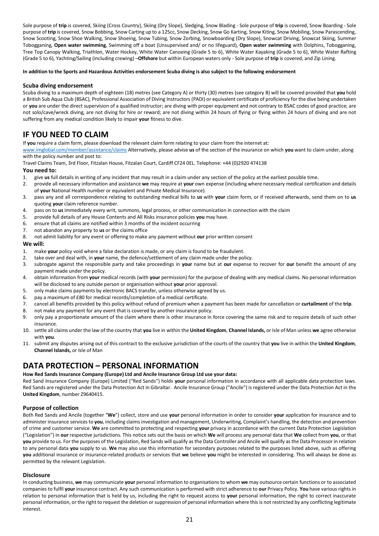Sole purpose of **trip** is covered, Skiing (Cross Country), Skiing (Dry Slope), Sledging, Snow Blading - Sole purpose of **trip** is covered, Snow Boarding - Sole purpose of **trip** is covered, Snow Bobbing, Snow Carting up to a 125cc, Snow Decking, Snow Go Karting, Snow Kiting, Snow Mobiling, Snow Parascending, Snow Scooting, Snow Shoe Walking, Snow Shoeing, Snow Tubing, Snow Zorbing, Snowboarding (Dry Slope), Snowcat Driving, Snowcat Skiing, Summer Tobogganing, **Open water swimming**, Swimming off a boat (Unsupervised and/ or no lifeguard), **Open water swimming** with Dolphins, Tobogganing, Tree Top Canopy Walking, Triathlon, Water Hockey, White Water Canoeing (Grade 5 to 6), White Water Kayaking (Grade 5 to 6), White Water Rafting (Grade 5 to 6), Yachting/Sailing (including crewing) –**Offshore** but within European waters only - Sole purpose of **trip** is covered, and Zip Lining.

#### **In addition to the Sports and Hazardous Activities endorsement Scuba diving is also subject to the following endorsement**

#### **Scuba diving endorsement**

Scuba diving to a maximum depth of eighteen (18) metres (see Category A) or thirty (30) metres (see category B) will be covered provided that **you** hold a British Sub Aqua Club (BSAC), Professional Association of Diving Instructors (PADI) or equivalent certificate of proficiency for the dive being undertaken or **you** are under the direct supervision of a qualified instructor; are diving with proper equipment and not contrary to BSAC codes of good practice; are not solo/cave/wreck diving, are not diving for hire or reward; are not diving within 24 hours of flying or flying within 24 hours of diving and are not suffering from any medical condition likely to impair **your** fitness to dive.

# **IF YOU NEED TO CLAIM**

If **you** require a claim form, please download the relevant claim form relating to your claim from the internet at:

[www.imglobal.com/member/assistance/claims](http://www.imglobal.com/member/assistance/claims) Alternatively, please advise **us** of the section of the insurance on which **you** want to claim under, along with the policy number and post to:

Travel Claims Team, 3rd Floor, Fitzalan House, Fitzalan Court, Cardiff CF24 0EL. Telephone: +44 (0)2920 474138

### **You need to:**

- 1. give **us** full details in writing of any incident that may result in a claim under any section of the policy at the earliest possible time.
- 2. provide all necessary information and assistance **we** may require at **your** own expense (including where necessary medical certification and details of **your** National Health number or equivalent and Private Medical Insurance).
- 3. pass any and all correspondence relating to outstanding medical bills to **us** with **your** claim form, or if received afterwards, send them on to **us**  quoting **your** claim reference number.
- 4. pass on to **us** immediately every writ, summons, legal process, or other communication in connection with the claim
- 5. provide full details of any House Contents and All Risks insurance policies **you** may have.
- 6. ensure that all claims are notified within 3 months of the incident occurring
- 7. not abandon any property to **us** or the claims office
- 8. not admit liability for any event or offering to make any payment without **our** prior written consent

#### **We will:**

- 1. make **your** policy void where a false declaration is made, or any claim is found to be fraudulent.
- 2. take over and deal with, in **your** name, the defence/settlement of any claim made under the policy.
- 3. subrogate against the responsible party and take proceedings in **your** name but at **our** expense to recover for **our** benefit the amount of any payment made under the policy.
- 4. obtain information from **your** medical records (with **your** permission) for the purpose of dealing with any medical claims. No personal information will be disclosed to any outside person or organisation without **your** prior approval.
- 5. only make claims payments by electronic BACS transfer, unless otherwise agreed by us.
- 6. pay a maximum of £80 for medical records/completion of a medical certificate.
- 7. cancel all benefits provided by this policy without refund of premium when a payment has been made for cancellation or **curtailment** of the **trip**.
- 8. not make any payment for any event that is covered by another insurance policy.
- 9. only pay a proportionate amount of the claim where there is other insurance in force covering the same risk and to require details of such other insurance.
- 10. settle all claims under the law of the country that **you** live in within the **United Kingdom**, **Channel Islands,** or Isle of Man unless **we** agree otherwise with **you**.
- 11. submit any disputes arising out of this contract to the exclusive jurisdiction of the courts of the country that **you** live in within the **United Kingdom**, **Channel Islands,** or Isle of Man

# **DATA PROTECTION – PERSONAL INFORMATION**

### **How Red Sands Insurance Company (Europe) Ltd and Ancile Insurance Group Ltd use your data:**

Red Sand Insurance Company (Europe) Limited ("Red Sands") holds **your** personal information in accordance with all applicable data protection laws. Red Sands are registered under the Data Protection Act in Gibraltar. Ancile Insurance Group ("Ancile") is registered under the Data Protection Act in the **United Kingdom**, number Z9640415.

# **Purpose of collection**

Both Red Sands and Ancile (together "**We**") collect, store and use **your** personal information in order to consider **your** application for insurance and to administer insurance services to **you**, including claims investigation and management, Underwriting, Complaint's handling, the detection and prevention of crime and customer service. **We** are committed to protecting and respecting **your** privacy in accordance with the current Data Protection Legislation ("Legislation") in **our** respective jurisdictions. This notice sets out the basis on which **We** will process any personal data that **We** collect from **you**, or that **you** provide to us. For the purposes of the Legislation, Red Sands will qualify as the Data Controller and Ancile will qualify as the Data Processor in relation to any personal data **you** supply to us. **We** may also use this information for secondary purposes related to the purposes listed above, such as offering **you** additional insurance or insurance-related products or services that **we** believe **you** might be interested in considering. This will always be done as permitted by the relevant Legislation.

### **Disclosure**

In conducting business, **we** may communicate **your** personal information to organisations to whom **we** may outsource certain functions or to associated companies to fulfil **your** insurance contract. Any such communication is performed with strict adherence to **our** Privacy Policy. **You** have various rights in relation to personal information that is held by us, including the right to request access to **your** personal information, the right to correct inaccurate personal information, or the right to request the deletion or suppression of personal information where this is not restricted by any conflicting legitimate interest.